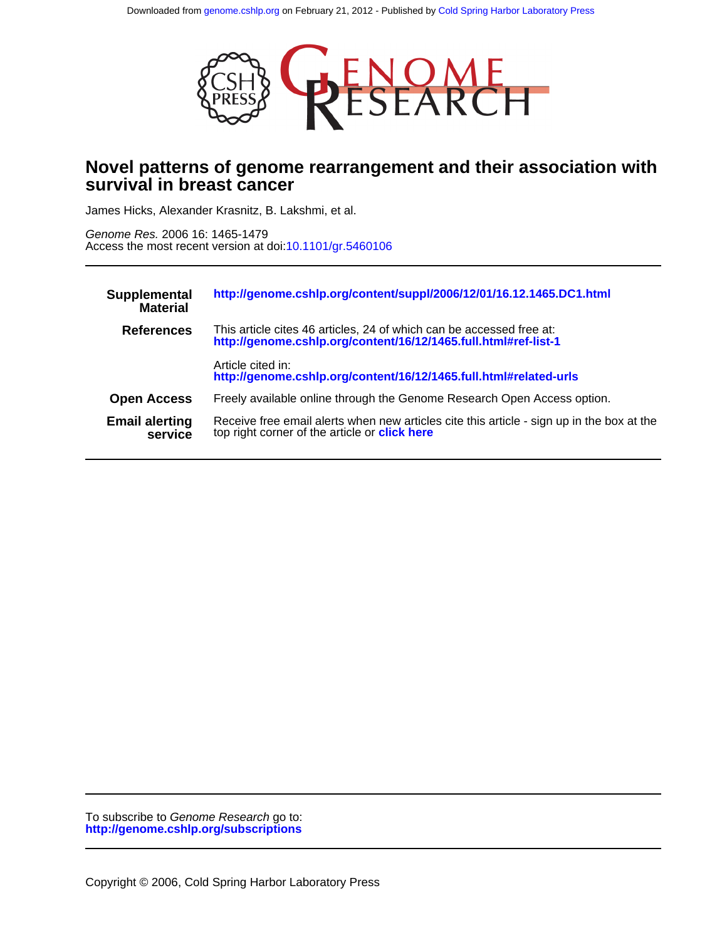

## **survival in breast cancer Novel patterns of genome rearrangement and their association with**

James Hicks, Alexander Krasnitz, B. Lakshmi, et al.

Access the most recent version at doi[:10.1101/gr.5460106](http://genome.cshlp.org/lookup/doi/10.1101/gr.5460106) Genome Res. 2006 16: 1465-1479

| Supplemental<br><b>Material</b>  | http://genome.cshlp.org/content/suppl/2006/12/01/16.12.1465.DC1.html                                                                              |
|----------------------------------|---------------------------------------------------------------------------------------------------------------------------------------------------|
| <b>References</b>                | This article cites 46 articles, 24 of which can be accessed free at:<br>http://genome.cshlp.org/content/16/12/1465.full.html#ref-list-1           |
|                                  | Article cited in:<br>http://genome.cshlp.org/content/16/12/1465.full.html#related-urls                                                            |
| <b>Open Access</b>               | Freely available online through the Genome Research Open Access option.                                                                           |
| <b>Email alerting</b><br>service | Receive free email alerts when new articles cite this article - sign up in the box at the<br>top right corner of the article or <b>click here</b> |

**<http://genome.cshlp.org/subscriptions>** To subscribe to Genome Research go to: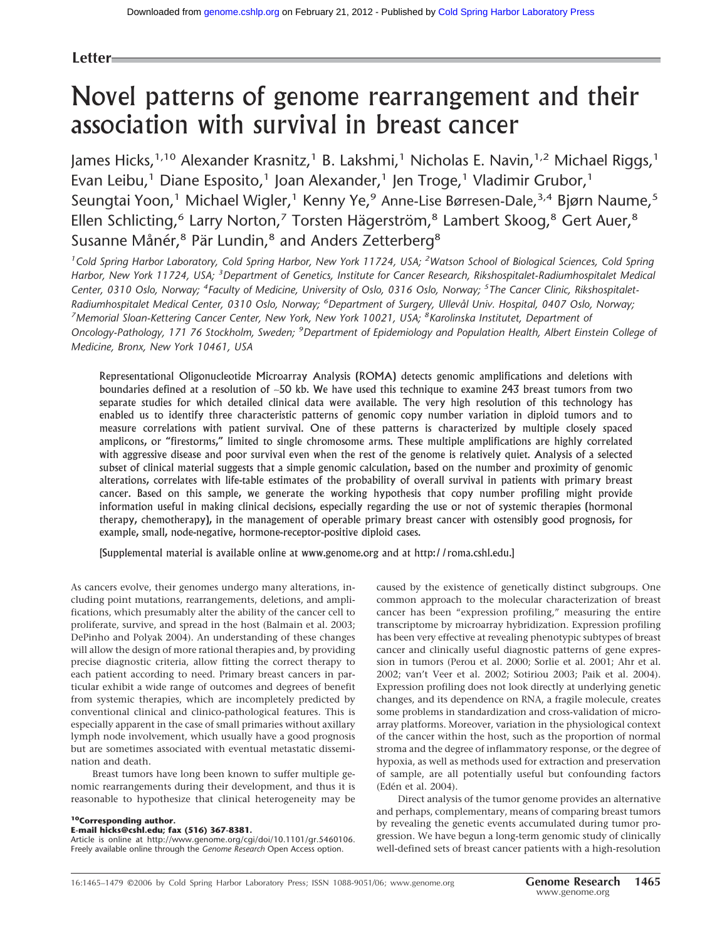**Letter**

# Novel patterns of genome rearrangement and their association with survival in breast cancer

James Hicks,<sup>1,10</sup> Alexander Krasnitz,<sup>1</sup> B. Lakshmi,<sup>1</sup> Nicholas E. Navin,<sup>1,2</sup> Michael Riggs,<sup>1</sup> Evan Leibu,<sup>1</sup> Diane Esposito,<sup>1</sup> Joan Alexander,<sup>1</sup> Jen Troge,<sup>1</sup> Vladimir Grubor,<sup>1</sup> Seungtai Yoon,<sup>1</sup> Michael Wigler,<sup>1</sup> Kenny Ye,<sup>9</sup> Anne-Lise Børresen-Dale,<sup>3,4</sup> Bjørn Naume,<sup>5</sup> Ellen Schlicting,<sup>6</sup> Larry Norton,<sup>7</sup> Torsten Hägerström,<sup>8</sup> Lambert Skoog,<sup>8</sup> Gert Auer,<sup>8</sup> Susanne Månér,<sup>8</sup> Pär Lundin,<sup>8</sup> and Anders Zetterberg<sup>8</sup>

*1 Cold Spring Harbor Laboratory, Cold Spring Harbor, New York 11724, USA; <sup>2</sup> Watson School of Biological Sciences, Cold Spring Harbor, New York 11724, USA; <sup>3</sup> Department of Genetics, Institute for Cancer Research, Rikshospitalet-Radiumhospitalet Medical Center, 0310 Oslo, Norway; <sup>4</sup> Faculty of Medicine, University of Oslo, 0316 Oslo, Norway; <sup>5</sup> The Cancer Clinic, Rikshospitalet-Radiumhospitalet Medical Center, 0310 Oslo, Norway; <sup>6</sup> Department of Surgery, Ullevål Univ. Hospital, 0407 Oslo, Norway; 7 Memorial Sloan-Kettering Cancer Center, New York, New York 10021, USA; <sup>8</sup> Karolinska Institutet, Department of* Oncology-Pathology, 171 76 Stockholm, Sweden; <sup>9</sup>Department of Epidemiology and Population Health, Albert Einstein College oi *Medicine, Bronx, New York 10461, USA*

Representational Oligonucleotide Microarray Analysis (ROMA) detects genomic amplifications and deletions with boundaries defined at a resolution of ∼50 kb. We have used this technique to examine 243 breast tumors from two separate studies for which detailed clinical data were available. The very high resolution of this technology has enabled us to identify three characteristic patterns of genomic copy number variation in diploid tumors and to measure correlations with patient survival. One of these patterns is characterized by multiple closely spaced amplicons, or "firestorms," limited to single chromosome arms. These multiple amplifications are highly correlated with aggressive disease and poor survival even when the rest of the genome is relatively quiet. Analysis of a selected subset of clinical material suggests that a simple genomic calculation, based on the number and proximity of genomic alterations, correlates with life-table estimates of the probability of overall survival in patients with primary breast cancer. Based on this sample, we generate the working hypothesis that copy number profiling might provide information useful in making clinical decisions, especially regarding the use or not of systemic therapies (hormonal therapy, chemotherapy), in the management of operable primary breast cancer with ostensibly good prognosis, for example, small, node-negative, hormone-receptor-positive diploid cases.

[Supplemental material is available online at www.genome.org and at http://roma.cshl.edu.]

As cancers evolve, their genomes undergo many alterations, including point mutations, rearrangements, deletions, and amplifications, which presumably alter the ability of the cancer cell to proliferate, survive, and spread in the host (Balmain et al. 2003; DePinho and Polyak 2004). An understanding of these changes will allow the design of more rational therapies and, by providing precise diagnostic criteria, allow fitting the correct therapy to each patient according to need. Primary breast cancers in particular exhibit a wide range of outcomes and degrees of benefit from systemic therapies, which are incompletely predicted by conventional clinical and clinico-pathological features. This is especially apparent in the case of small primaries without axillary lymph node involvement, which usually have a good prognosis but are sometimes associated with eventual metastatic dissemination and death.

Breast tumors have long been known to suffer multiple genomic rearrangements during their development, and thus it is reasonable to hypothesize that clinical heterogeneity may be

#### **10Corresponding author.**

**E-mail hicks@cshl.edu; fax (516) 367-8381.**

Article is online at http://www.genome.org/cgi/doi/10.1101/gr.5460106. Freely available online through the *Genome Research* Open Access option.

caused by the existence of genetically distinct subgroups. One common approach to the molecular characterization of breast cancer has been "expression profiling," measuring the entire transcriptome by microarray hybridization. Expression profiling has been very effective at revealing phenotypic subtypes of breast cancer and clinically useful diagnostic patterns of gene expression in tumors (Perou et al. 2000; Sorlie et al. 2001; Ahr et al. 2002; van't Veer et al. 2002; Sotiriou 2003; Paik et al. 2004). Expression profiling does not look directly at underlying genetic changes, and its dependence on RNA, a fragile molecule, creates some problems in standardization and cross-validation of microarray platforms. Moreover, variation in the physiological context of the cancer within the host, such as the proportion of normal stroma and the degree of inflammatory response, or the degree of hypoxia, as well as methods used for extraction and preservation of sample, are all potentially useful but confounding factors (Edén et al. 2004).

Direct analysis of the tumor genome provides an alternative and perhaps, complementary, means of comparing breast tumors by revealing the genetic events accumulated during tumor progression. We have begun a long-term genomic study of clinically well-defined sets of breast cancer patients with a high-resolution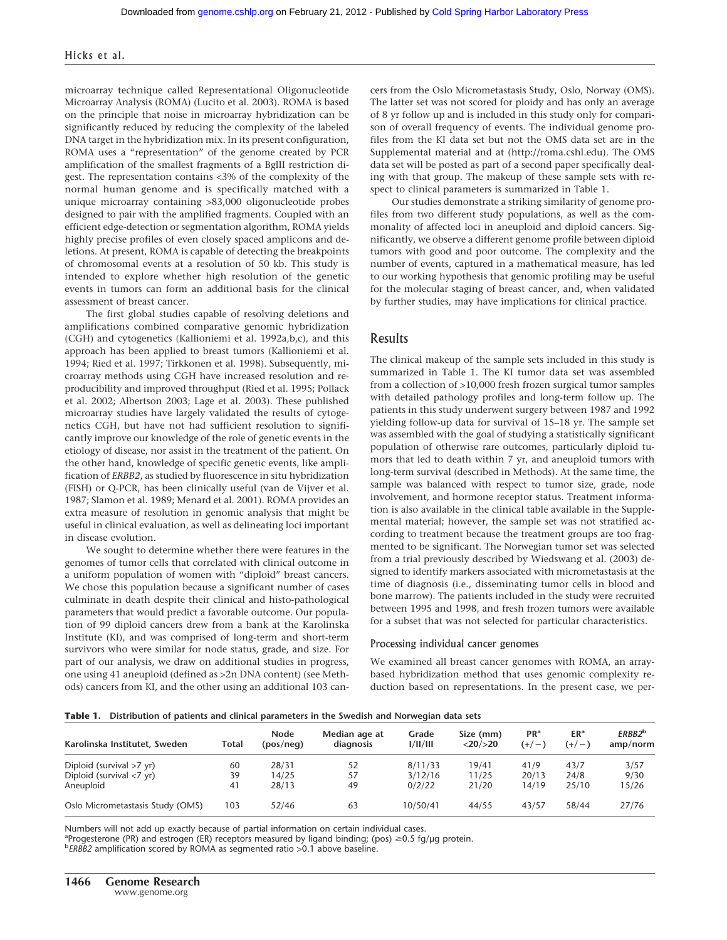microarray technique called Representational Oligonucleotide Microarray Analysis (ROMA) (Lucito et al. 2003). ROMA is based on the principle that noise in microarray hybridization can be significantly reduced by reducing the complexity of the labeled DNA target in the hybridization mix. In its present configuration, ROMA uses a "representation" of the genome created by PCR amplification of the smallest fragments of a BglII restriction digest. The representation contains <3% of the complexity of the normal human genome and is specifically matched with a unique microarray containing >83,000 oligonucleotide probes designed to pair with the amplified fragments. Coupled with an efficient edge-detection or segmentation algorithm, ROMA yields highly precise profiles of even closely spaced amplicons and deletions. At present, ROMA is capable of detecting the breakpoints of chromosomal events at a resolution of 50 kb. This study is intended to explore whether high resolution of the genetic events in tumors can form an additional basis for the clinical assessment of breast cancer.

The first global studies capable of resolving deletions and amplifications combined comparative genomic hybridization (CGH) and cytogenetics (Kallioniemi et al. 1992a,b,c), and this approach has been applied to breast tumors (Kallioniemi et al. 1994; Ried et al. 1997; Tirkkonen et al. 1998). Subsequently, microarray methods using CGH have increased resolution and reproducibility and improved throughput (Ried et al. 1995; Pollack et al. 2002; Albertson 2003; Lage et al. 2003). These published microarray studies have largely validated the results of cytogenetics CGH, but have not had sufficient resolution to significantly improve our knowledge of the role of genetic events in the etiology of disease, nor assist in the treatment of the patient. On the other hand, knowledge of specific genetic events, like amplification of *ERBB2*, as studied by fluorescence in situ hybridization (FISH) or Q-PCR, has been clinically useful (van de Vijver et al. 1987; Slamon et al. 1989; Menard et al. 2001). ROMA provides an extra measure of resolution in genomic analysis that might be useful in clinical evaluation, as well as delineating loci important in disease evolution.

We sought to determine whether there were features in the genomes of tumor cells that correlated with clinical outcome in a uniform population of women with "diploid" breast cancers. We chose this population because a significant number of cases culminate in death despite their clinical and histo-pathological parameters that would predict a favorable outcome. Our population of 99 diploid cancers drew from a bank at the Karolinska Institute (KI), and was comprised of long-term and short-term survivors who were similar for node status, grade, and size. For part of our analysis, we draw on additional studies in progress, one using 41 aneuploid (defined as >2n DNA content) (see Methods) cancers from KI, and the other using an additional 103 cancers from the Oslo Micrometastasis Study, Oslo, Norway (OMS). The latter set was not scored for ploidy and has only an average of 8 yr follow up and is included in this study only for comparison of overall frequency of events. The individual genome profiles from the KI data set but not the OMS data set are in the Supplemental material and at (http://roma.cshl.edu). The OMS data set will be posted as part of a second paper specifically dealing with that group. The makeup of these sample sets with respect to clinical parameters is summarized in Table 1.

Our studies demonstrate a striking similarity of genome profiles from two different study populations, as well as the commonality of affected loci in aneuploid and diploid cancers. Significantly, we observe a different genome profile between diploid tumors with good and poor outcome. The complexity and the number of events, captured in a mathematical measure, has led to our working hypothesis that genomic profiling may be useful for the molecular staging of breast cancer, and, when validated by further studies, may have implications for clinical practice.

### Results

The clinical makeup of the sample sets included in this study is summarized in Table 1. The KI tumor data set was assembled from a collection of >10,000 fresh frozen surgical tumor samples with detailed pathology profiles and long-term follow up. The patients in this study underwent surgery between 1987 and 1992 yielding follow-up data for survival of 15–18 yr. The sample set was assembled with the goal of studying a statistically significant population of otherwise rare outcomes, particularly diploid tumors that led to death within 7 yr, and aneuploid tumors with long-term survival (described in Methods). At the same time, the sample was balanced with respect to tumor size, grade, node involvement, and hormone receptor status. Treatment information is also available in the clinical table available in the Supplemental material; however, the sample set was not stratified according to treatment because the treatment groups are too fragmented to be significant. The Norwegian tumor set was selected from a trial previously described by Wiedswang et al. (2003) designed to identify markers associated with micrometastasis at the time of diagnosis (i.e., disseminating tumor cells in blood and bone marrow). The patients included in the study were recruited between 1995 and 1998, and fresh frozen tumors were available for a subset that was not selected for particular characteristics.

#### Processing individual cancer genomes

We examined all breast cancer genomes with ROMA, an arraybased hybridization method that uses genomic complexity reduction based on representations. In the present case, we per-

#### **Table 1. Distribution of patients and clinical parameters in the Swedish and Norwegian data sets**

| Karolinska Institutet, Sweden    | Total | Node<br>(pos/neq) | Median age at<br>diagnosis | Grade<br>1/11/111 | Size (mm)<br>$<$ 20/ $>$ 20 | P <sub>R<sup>a</sup></sub><br>$(+/-)$ | ER <sup>a</sup><br>$(+/-)$ | ERBB <sub>2</sub> b<br>amp/norm |
|----------------------------------|-------|-------------------|----------------------------|-------------------|-----------------------------|---------------------------------------|----------------------------|---------------------------------|
| Diploid (survival $>7$ yr)       | 60    | 28/31             | 52                         | 8/11/33           | 19/41                       | 41/9                                  | 43/7                       | 3/57                            |
| Diploid (survival $<$ 7 yr)      | 39    | 14/25             | 57                         | 3/12/16           | 11/25                       | 20/13                                 | 24/8                       | 9/30                            |
| Aneuploid                        | 41    | 28/13             | 49                         | 0/2/22            | 21/20                       | 14/19                                 | 25/10                      | 15/26                           |
| Oslo Micrometastasis Study (OMS) | 103   | 52/46             | 63                         | 10/50/41          | 44/55                       | 43/57                                 | 58/44                      | 27/76                           |

Numbers will not add up exactly because of partial information on certain individual cases.

<sup>a</sup>Progesterone (PR) and estrogen (ER) receptors measured by ligand binding; (pos) ≥0.5 fg/µg protein.<br><sup>b</sup>ERRR2 amplification scored by ROMA as segmented ratio >0.1 above baseline *ERBB2* amplification scored by ROMA as segmented ratio >0.1 above baseline.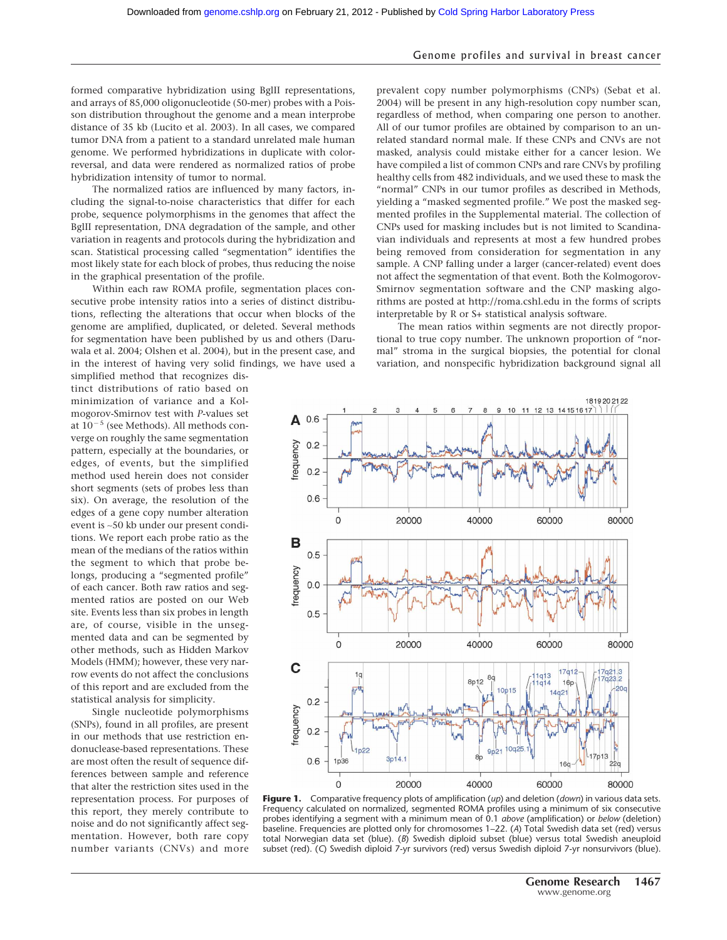formed comparative hybridization using BglII representations, and arrays of 85,000 oligonucleotide (50-mer) probes with a Poisson distribution throughout the genome and a mean interprobe distance of 35 kb (Lucito et al. 2003). In all cases, we compared tumor DNA from a patient to a standard unrelated male human genome. We performed hybridizations in duplicate with colorreversal, and data were rendered as normalized ratios of probe hybridization intensity of tumor to normal.

The normalized ratios are influenced by many factors, including the signal-to-noise characteristics that differ for each probe, sequence polymorphisms in the genomes that affect the BglII representation, DNA degradation of the sample, and other variation in reagents and protocols during the hybridization and scan. Statistical processing called "segmentation" identifies the most likely state for each block of probes, thus reducing the noise in the graphical presentation of the profile.

Within each raw ROMA profile, segmentation places consecutive probe intensity ratios into a series of distinct distributions, reflecting the alterations that occur when blocks of the genome are amplified, duplicated, or deleted. Several methods for segmentation have been published by us and others (Daruwala et al. 2004; Olshen et al. 2004), but in the present case, and in the interest of having very solid findings, we have used a

simplified method that recognizes distinct distributions of ratio based on minimization of variance and a Kolmogorov-Smirnov test with *P*-values set at  $10^{-5}$  (see Methods). All methods converge on roughly the same segmentation pattern, especially at the boundaries, or edges, of events, but the simplified method used herein does not consider short segments (sets of probes less than six). On average, the resolution of the edges of a gene copy number alteration event is ∼50 kb under our present conditions. We report each probe ratio as the mean of the medians of the ratios within the segment to which that probe belongs, producing a "segmented profile" of each cancer. Both raw ratios and segmented ratios are posted on our Web site. Events less than six probes in length are, of course, visible in the unsegmented data and can be segmented by other methods, such as Hidden Markov Models (HMM); however, these very narrow events do not affect the conclusions of this report and are excluded from the statistical analysis for simplicity.

Single nucleotide polymorphisms (SNPs), found in all profiles, are present in our methods that use restriction endonuclease-based representations. These are most often the result of sequence differences between sample and reference that alter the restriction sites used in the representation process. For purposes of this report, they merely contribute to noise and do not significantly affect segmentation. However, both rare copy number variants (CNVs) and more

prevalent copy number polymorphisms (CNPs) (Sebat et al. 2004) will be present in any high-resolution copy number scan, regardless of method, when comparing one person to another. All of our tumor profiles are obtained by comparison to an unrelated standard normal male. If these CNPs and CNVs are not masked, analysis could mistake either for a cancer lesion. We have compiled a list of common CNPs and rare CNVs by profiling healthy cells from 482 individuals, and we used these to mask the "normal" CNPs in our tumor profiles as described in Methods, yielding a "masked segmented profile." We post the masked segmented profiles in the Supplemental material. The collection of CNPs used for masking includes but is not limited to Scandinavian individuals and represents at most a few hundred probes being removed from consideration for segmentation in any sample. A CNP falling under a larger (cancer-related) event does not affect the segmentation of that event. Both the Kolmogorov-Smirnov segmentation software and the CNP masking algorithms are posted at http://roma.cshl.edu in the forms of scripts interpretable by R or S+ statistical analysis software.

The mean ratios within segments are not directly proportional to true copy number. The unknown proportion of "normal" stroma in the surgical biopsies, the potential for clonal variation, and nonspecific hybridization background signal all



**Figure 1.** Comparative frequency plots of amplification (*up*) and deletion (*down*) in various data sets. Frequency calculated on normalized, segmented ROMA profiles using a minimum of six consecutive probes identifying a segment with a minimum mean of 0.1 *above* (amplification) or *below* (deletion) baseline. Frequencies are plotted only for chromosomes 1–22. (*A*) Total Swedish data set (red) versus total Norwegian data set (blue). (*B*) Swedish diploid subset (blue) versus total Swedish aneuploid subset (red). (*C*) Swedish diploid 7-yr survivors (red) versus Swedish diploid 7-yr nonsurvivors (blue).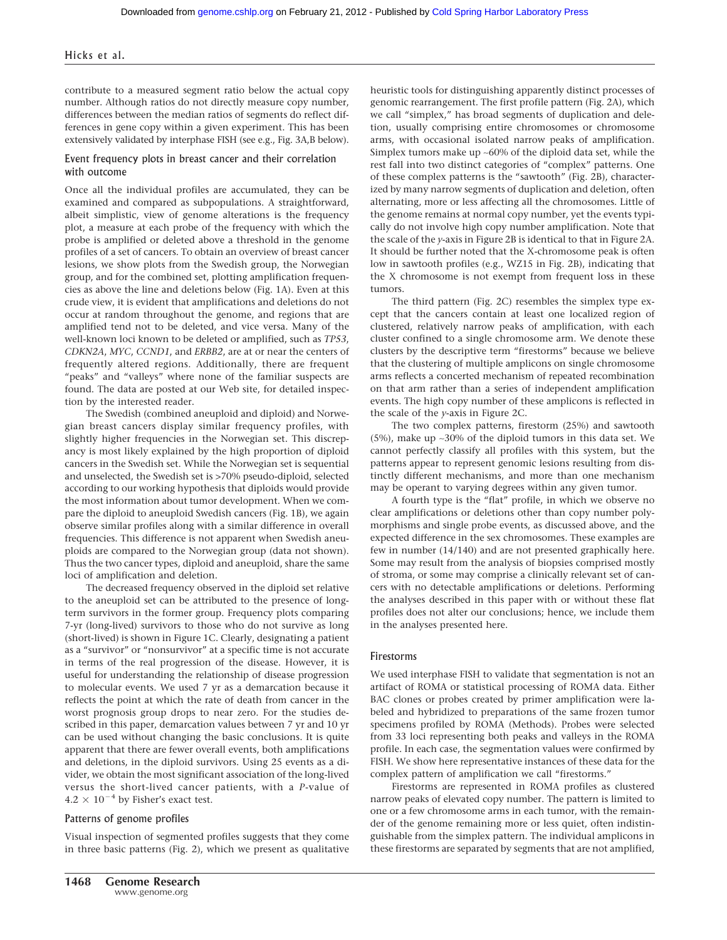contribute to a measured segment ratio below the actual copy number. Although ratios do not directly measure copy number, differences between the median ratios of segments do reflect differences in gene copy within a given experiment. This has been extensively validated by interphase FISH (see e.g., Fig. 3A,B below).

#### Event frequency plots in breast cancer and their correlation with outcome

Once all the individual profiles are accumulated, they can be examined and compared as subpopulations. A straightforward, albeit simplistic, view of genome alterations is the frequency plot, a measure at each probe of the frequency with which the probe is amplified or deleted above a threshold in the genome profiles of a set of cancers. To obtain an overview of breast cancer lesions, we show plots from the Swedish group, the Norwegian group, and for the combined set, plotting amplification frequencies as above the line and deletions below (Fig. 1A). Even at this crude view, it is evident that amplifications and deletions do not occur at random throughout the genome, and regions that are amplified tend not to be deleted, and vice versa. Many of the well-known loci known to be deleted or amplified, such as *TP53*, *CDKN2A*, *MYC*, *CCND1*, and *ERBB2*, are at or near the centers of frequently altered regions. Additionally, there are frequent "peaks" and "valleys" where none of the familiar suspects are found. The data are posted at our Web site, for detailed inspection by the interested reader.

The Swedish (combined aneuploid and diploid) and Norwegian breast cancers display similar frequency profiles, with slightly higher frequencies in the Norwegian set. This discrepancy is most likely explained by the high proportion of diploid cancers in the Swedish set. While the Norwegian set is sequential and unselected, the Swedish set is >70% pseudo-diploid, selected according to our working hypothesis that diploids would provide the most information about tumor development. When we compare the diploid to aneuploid Swedish cancers (Fig. 1B), we again observe similar profiles along with a similar difference in overall frequencies. This difference is not apparent when Swedish aneuploids are compared to the Norwegian group (data not shown). Thus the two cancer types, diploid and aneuploid, share the same loci of amplification and deletion.

The decreased frequency observed in the diploid set relative to the aneuploid set can be attributed to the presence of longterm survivors in the former group. Frequency plots comparing 7-yr (long-lived) survivors to those who do not survive as long (short-lived) is shown in Figure 1C. Clearly, designating a patient as a "survivor" or "nonsurvivor" at a specific time is not accurate in terms of the real progression of the disease. However, it is useful for understanding the relationship of disease progression to molecular events. We used 7 yr as a demarcation because it reflects the point at which the rate of death from cancer in the worst prognosis group drops to near zero. For the studies described in this paper, demarcation values between 7 yr and 10 yr can be used without changing the basic conclusions. It is quite apparent that there are fewer overall events, both amplifications and deletions, in the diploid survivors. Using 25 events as a divider, we obtain the most significant association of the long-lived versus the short-lived cancer patients, with a *P*-value of  $4.2 \times 10^{-4}$  by Fisher's exact test.

#### Patterns of genome profiles

Visual inspection of segmented profiles suggests that they come in three basic patterns (Fig. 2), which we present as qualitative heuristic tools for distinguishing apparently distinct processes of genomic rearrangement. The first profile pattern (Fig. 2A), which we call "simplex," has broad segments of duplication and deletion, usually comprising entire chromosomes or chromosome arms, with occasional isolated narrow peaks of amplification. Simplex tumors make up ∼60% of the diploid data set, while the rest fall into two distinct categories of "complex" patterns. One of these complex patterns is the "sawtooth" (Fig. 2B), characterized by many narrow segments of duplication and deletion, often alternating, more or less affecting all the chromosomes. Little of the genome remains at normal copy number, yet the events typically do not involve high copy number amplification. Note that the scale of the *y*-axis in Figure 2B is identical to that in Figure 2A. It should be further noted that the X-chromosome peak is often low in sawtooth profiles (e.g., WZ15 in Fig. 2B), indicating that the X chromosome is not exempt from frequent loss in these tumors.

The third pattern (Fig. 2C) resembles the simplex type except that the cancers contain at least one localized region of clustered, relatively narrow peaks of amplification, with each cluster confined to a single chromosome arm. We denote these clusters by the descriptive term "firestorms" because we believe that the clustering of multiple amplicons on single chromosome arms reflects a concerted mechanism of repeated recombination on that arm rather than a series of independent amplification events. The high copy number of these amplicons is reflected in the scale of the *y*-axis in Figure 2C.

The two complex patterns, firestorm (25%) and sawtooth (5%), make up ∼30% of the diploid tumors in this data set. We cannot perfectly classify all profiles with this system, but the patterns appear to represent genomic lesions resulting from distinctly different mechanisms, and more than one mechanism may be operant to varying degrees within any given tumor.

A fourth type is the "flat" profile, in which we observe no clear amplifications or deletions other than copy number polymorphisms and single probe events, as discussed above, and the expected difference in the sex chromosomes. These examples are few in number (14/140) and are not presented graphically here. Some may result from the analysis of biopsies comprised mostly of stroma, or some may comprise a clinically relevant set of cancers with no detectable amplifications or deletions. Performing the analyses described in this paper with or without these flat profiles does not alter our conclusions; hence, we include them in the analyses presented here.

#### Firestorms

We used interphase FISH to validate that segmentation is not an artifact of ROMA or statistical processing of ROMA data. Either BAC clones or probes created by primer amplification were labeled and hybridized to preparations of the same frozen tumor specimens profiled by ROMA (Methods). Probes were selected from 33 loci representing both peaks and valleys in the ROMA profile. In each case, the segmentation values were confirmed by FISH. We show here representative instances of these data for the complex pattern of amplification we call "firestorms."

Firestorms are represented in ROMA profiles as clustered narrow peaks of elevated copy number. The pattern is limited to one or a few chromosome arms in each tumor, with the remainder of the genome remaining more or less quiet, often indistinguishable from the simplex pattern. The individual amplicons in these firestorms are separated by segments that are not amplified,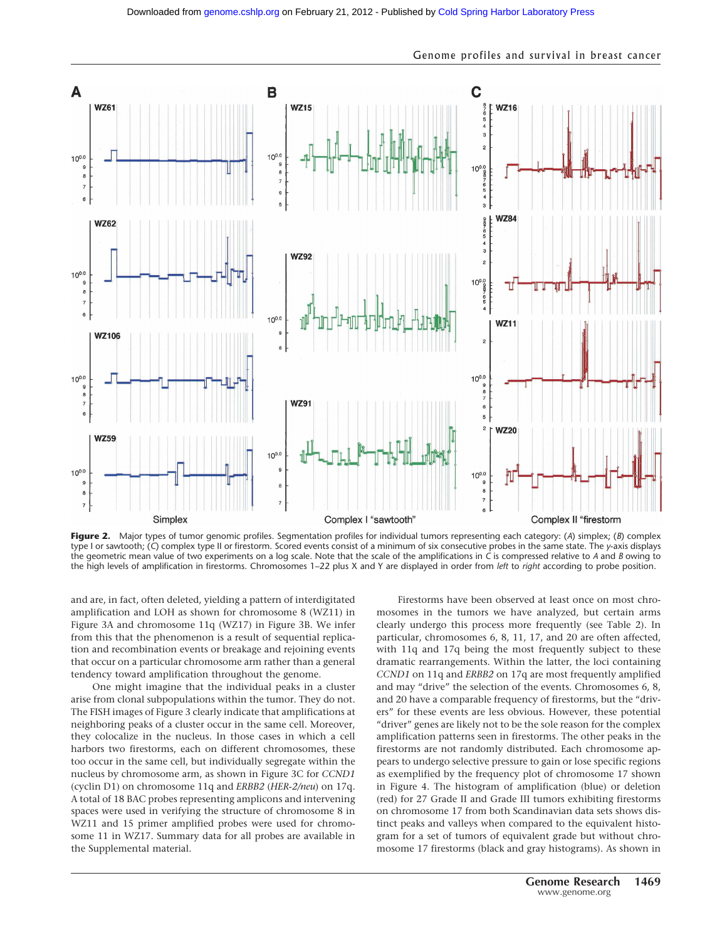

Genome profiles and survival in breast cancer

**Figure 2.** Major types of tumor genomic profiles. Segmentation profiles for individual tumors representing each category: (*A*) simplex; (*B*) complex type I or sawtooth; (*C*) complex type II or firestorm. Scored events consist of a minimum of six consecutive probes in the same state. The *y*-axis displays the geometric mean value of two experiments on a log scale. Note that the scale of the amplifications in *C* is compressed relative to *A* and *B* owing to the high levels of amplification in firestorms. Chromosomes 1–22 plus X and Y are displayed in order from *left* to *right* according to probe position.

and are, in fact, often deleted, yielding a pattern of interdigitated amplification and LOH as shown for chromosome 8 (WZ11) in Figure 3A and chromosome 11q (WZ17) in Figure 3B. We infer from this that the phenomenon is a result of sequential replication and recombination events or breakage and rejoining events that occur on a particular chromosome arm rather than a general tendency toward amplification throughout the genome.

One might imagine that the individual peaks in a cluster arise from clonal subpopulations within the tumor. They do not. The FISH images of Figure 3 clearly indicate that amplifications at neighboring peaks of a cluster occur in the same cell. Moreover, they colocalize in the nucleus. In those cases in which a cell harbors two firestorms, each on different chromosomes, these too occur in the same cell, but individually segregate within the nucleus by chromosome arm, as shown in Figure 3C for *CCND1* (cyclin D1) on chromosome 11q and *ERBB2* (*HER-2/neu*) on 17q. A total of 18 BAC probes representing amplicons and intervening spaces were used in verifying the structure of chromosome 8 in WZ11 and 15 primer amplified probes were used for chromosome 11 in WZ17. Summary data for all probes are available in the Supplemental material.

Firestorms have been observed at least once on most chromosomes in the tumors we have analyzed, but certain arms clearly undergo this process more frequently (see Table 2). In particular, chromosomes 6, 8, 11, 17, and 20 are often affected, with 11q and 17q being the most frequently subject to these dramatic rearrangements. Within the latter, the loci containing *CCND1* on 11q and *ERBB2* on 17q are most frequently amplified and may "drive" the selection of the events. Chromosomes 6, 8, and 20 have a comparable frequency of firestorms, but the "drivers" for these events are less obvious. However, these potential "driver" genes are likely not to be the sole reason for the complex amplification patterns seen in firestorms. The other peaks in the firestorms are not randomly distributed. Each chromosome appears to undergo selective pressure to gain or lose specific regions as exemplified by the frequency plot of chromosome 17 shown in Figure 4. The histogram of amplification (blue) or deletion (red) for 27 Grade II and Grade III tumors exhibiting firestorms on chromosome 17 from both Scandinavian data sets shows distinct peaks and valleys when compared to the equivalent histogram for a set of tumors of equivalent grade but without chromosome 17 firestorms (black and gray histograms). As shown in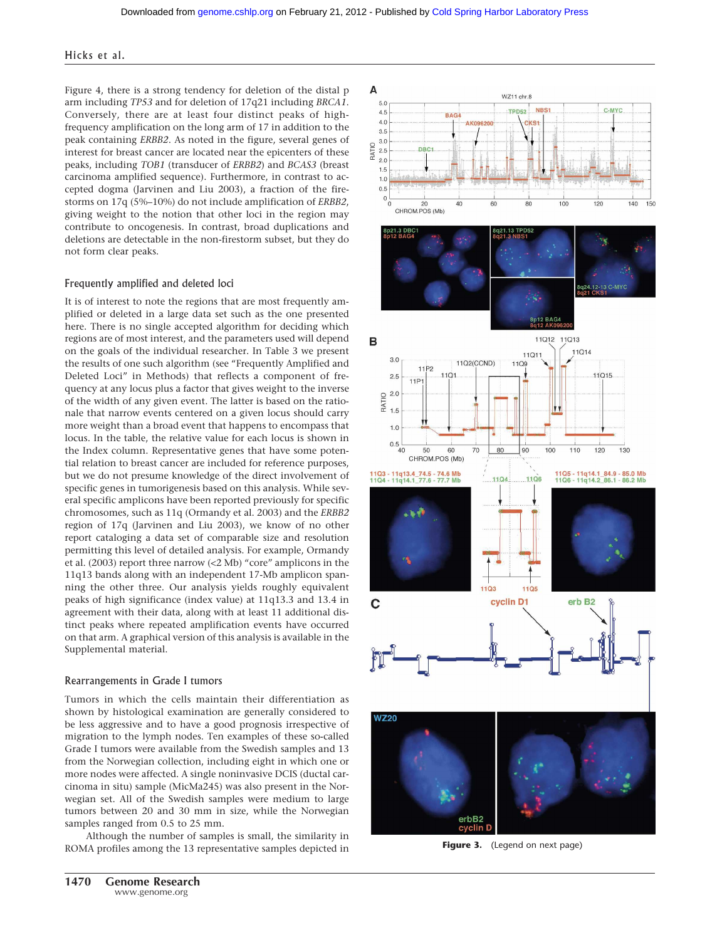Figure 4, there is a strong tendency for deletion of the distal p arm including *TP53* and for deletion of 17q21 including *BRCA1*. Conversely, there are at least four distinct peaks of highfrequency amplification on the long arm of 17 in addition to the peak containing *ERBB2*. As noted in the figure, several genes of interest for breast cancer are located near the epicenters of these peaks, including *TOB1* (transducer of *ERBB2*) and *BCAS3* (breast carcinoma amplified sequence). Furthermore, in contrast to accepted dogma (Jarvinen and Liu 2003), a fraction of the firestorms on 17q (5%–10%) do not include amplification of *ERBB2*, giving weight to the notion that other loci in the region may contribute to oncogenesis. In contrast, broad duplications and deletions are detectable in the non-firestorm subset, but they do not form clear peaks.

#### Frequently amplified and deleted loci

It is of interest to note the regions that are most frequently amplified or deleted in a large data set such as the one presented here. There is no single accepted algorithm for deciding which regions are of most interest, and the parameters used will depend on the goals of the individual researcher. In Table 3 we present the results of one such algorithm (see "Frequently Amplified and Deleted Loci" in Methods) that reflects a component of frequency at any locus plus a factor that gives weight to the inverse of the width of any given event. The latter is based on the rationale that narrow events centered on a given locus should carry more weight than a broad event that happens to encompass that locus. In the table, the relative value for each locus is shown in the Index column. Representative genes that have some potential relation to breast cancer are included for reference purposes, but we do not presume knowledge of the direct involvement of specific genes in tumorigenesis based on this analysis. While several specific amplicons have been reported previously for specific chromosomes, such as 11q (Ormandy et al. 2003) and the *ERBB2* region of 17q (Jarvinen and Liu 2003), we know of no other report cataloging a data set of comparable size and resolution permitting this level of detailed analysis. For example, Ormandy et al. (2003) report three narrow (<2 Mb) "core" amplicons in the 11q13 bands along with an independent 17-Mb amplicon spanning the other three. Our analysis yields roughly equivalent peaks of high significance (index value) at 11q13.3 and 13.4 in agreement with their data, along with at least 11 additional distinct peaks where repeated amplification events have occurred on that arm. A graphical version of this analysis is available in the Supplemental material.

#### Rearrangements in Grade I tumors

Tumors in which the cells maintain their differentiation as shown by histological examination are generally considered to be less aggressive and to have a good prognosis irrespective of migration to the lymph nodes. Ten examples of these so-called Grade I tumors were available from the Swedish samples and 13 from the Norwegian collection, including eight in which one or more nodes were affected. A single noninvasive DCIS (ductal carcinoma in situ) sample (MicMa245) was also present in the Norwegian set. All of the Swedish samples were medium to large tumors between 20 and 30 mm in size, while the Norwegian samples ranged from 0.5 to 25 mm.

Although the number of samples is small, the similarity in ROMA profiles among the 13 representative samples depicted in **Figure 3.** (Legend on next page)

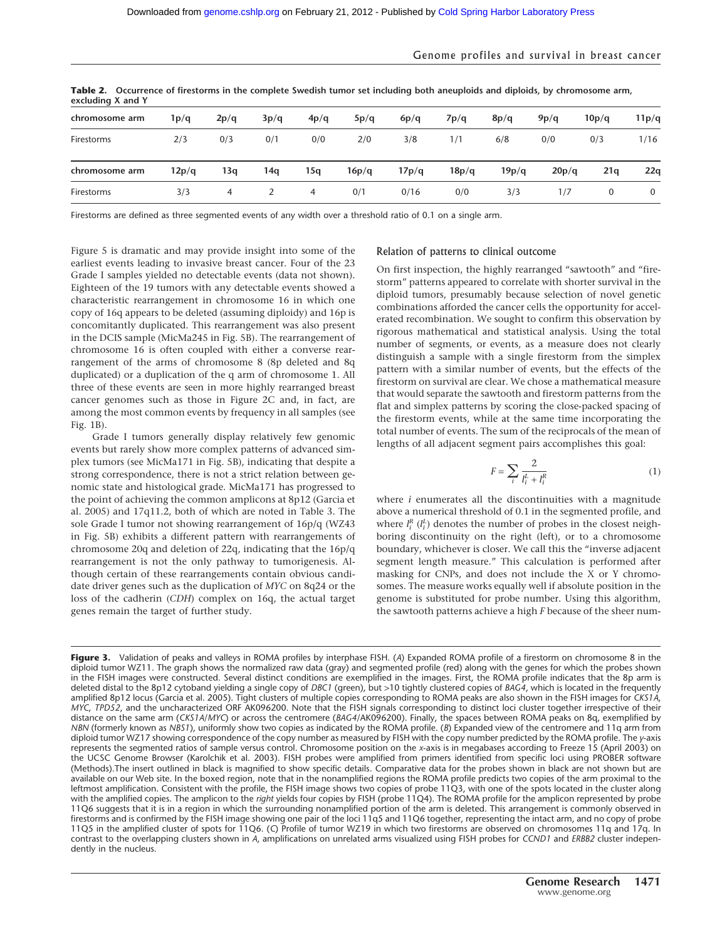| excluding X and Y |       |      |      |      |       |       |       |       |       |       |       |
|-------------------|-------|------|------|------|-------|-------|-------|-------|-------|-------|-------|
| chromosome arm    | 1p/q  | 2p/q | 3p/q | 4p/q | 5p/q  | 6p/q  | 7p/q  | 8p/q  | 9p/q  | 10p/q | 11p/q |
| Firestorms        | 2/3   | 0/3  | 0/1  | 0/0  | 2/0   | 3/8   | 1/1   | 6/8   | 0/0   | 0/3   | 1/16  |
| chromosome arm    | 12p/q | 13q  | 14q  | 15q  | 16p/q | 17p/q | 18p/q | 19p/q | 20p/q | 21q   | 22q   |
| Firestorms        | 3/3   | 4    |      | 4    | 0/1   | 0/16  | 0/0   | 3/3   | 1/7   | 0     | 0     |

**Table 2. Occurrence of firestorms in the complete Swedish tumor set including both aneuploids and diploids, by chromosome arm,**

Firestorms are defined as three segmented events of any width over a threshold ratio of 0.1 on a single arm.

Figure 5 is dramatic and may provide insight into some of the earliest events leading to invasive breast cancer. Four of the 23 Grade I samples yielded no detectable events (data not shown). Eighteen of the 19 tumors with any detectable events showed a characteristic rearrangement in chromosome 16 in which one copy of 16q appears to be deleted (assuming diploidy) and 16p is concomitantly duplicated. This rearrangement was also present in the DCIS sample (MicMa245 in Fig. 5B). The rearrangement of chromosome 16 is often coupled with either a converse rearrangement of the arms of chromosome 8 (8p deleted and 8q duplicated) or a duplication of the q arm of chromosome 1. All three of these events are seen in more highly rearranged breast cancer genomes such as those in Figure 2C and, in fact, are among the most common events by frequency in all samples (see Fig. 1B).

Grade I tumors generally display relatively few genomic events but rarely show more complex patterns of advanced simplex tumors (see MicMa171 in Fig. 5B), indicating that despite a strong correspondence, there is not a strict relation between genomic state and histological grade. MicMa171 has progressed to the point of achieving the common amplicons at 8p12 (Garcia et al. 2005) and 17q11.2, both of which are noted in Table 3. The sole Grade I tumor not showing rearrangement of 16p/q (WZ43 in Fig. 5B) exhibits a different pattern with rearrangements of chromosome 20q and deletion of 22q, indicating that the 16p/q rearrangement is not the only pathway to tumorigenesis. Although certain of these rearrangements contain obvious candidate driver genes such as the duplication of *MYC* on 8q24 or the loss of the cadherin (*CDH*) complex on 16q, the actual target genes remain the target of further study.

#### Relation of patterns to clinical outcome

On first inspection, the highly rearranged "sawtooth" and "firestorm" patterns appeared to correlate with shorter survival in the diploid tumors, presumably because selection of novel genetic combinations afforded the cancer cells the opportunity for accelerated recombination. We sought to confirm this observation by rigorous mathematical and statistical analysis. Using the total number of segments, or events, as a measure does not clearly distinguish a sample with a single firestorm from the simplex pattern with a similar number of events, but the effects of the firestorm on survival are clear. We chose a mathematical measure that would separate the sawtooth and firestorm patterns from the flat and simplex patterns by scoring the close-packed spacing of the firestorm events, while at the same time incorporating the total number of events. The sum of the reciprocals of the mean of lengths of all adjacent segment pairs accomplishes this goal:

$$
F = \sum_{i} \frac{2}{l_i^L + l_i^R} \tag{1}
$$

where *i* enumerates all the discontinuities with a magnitude above a numerical threshold of 0.1 in the segmented profile, and where  $l_i^R$  ( $l_i^L$ ) denotes the number of probes in the closest neighboring discontinuity on the right (left), or to a chromosome boundary, whichever is closer. We call this the "inverse adjacent segment length measure." This calculation is performed after masking for CNPs, and does not include the X or Y chromosomes. The measure works equally well if absolute position in the genome is substituted for probe number. Using this algorithm, the sawtooth patterns achieve a high *F* because of the sheer num-

**Figure 3.** Validation of peaks and valleys in ROMA profiles by interphase FISH. (*A*) Expanded ROMA profile of a firestorm on chromosome 8 in the diploid tumor WZ11. The graph shows the normalized raw data (gray) and segmented profile (red) along with the genes for which the probes shown in the FISH images were constructed. Several distinct conditions are exemplified in the images. First, the ROMA profile indicates that the 8p arm is deleted distal to the 8p12 cytoband yielding a single copy of *DBC1* (green), but >10 tightly clustered copies of *BAG4*, which is located in the frequently amplified 8p12 locus (Garcia et al. 2005). Tight clusters of multiple copies corresponding to ROMA peaks are also shown in the FISH images for *CKS1A*, *MYC*, *TPD52*, and the uncharacterized ORF AK096200. Note that the FISH signals corresponding to distinct loci cluster together irrespective of their distance on the same arm (*CKS1A*/*MYC*) or across the centromere (*BAG4*/AK096200). Finally, the spaces between ROMA peaks on 8q, exemplified by *NBN* (formerly known as *NBS1*), uniformly show two copies as indicated by the ROMA profile. (*B*) Expanded view of the centromere and 11q arm from diploid tumor WZ17 showing correspondence of the copy number as measured by FISH with the copy number predicted by the ROMA profile. The *y*-axis represents the segmented ratios of sample versus control. Chromosome position on the *x*-axis is in megabases according to Freeze 15 (April 2003) on the UCSC Genome Browser (Karolchik et al. 2003). FISH probes were amplified from primers identified from specific loci using PROBER software (Methods).The insert outlined in black is magnified to show specific details. Comparative data for the probes shown in black are not shown but are available on our Web site. In the boxed region, note that in the nonamplified regions the ROMA profile predicts two copies of the arm proximal to the leftmost amplification. Consistent with the profile, the FISH image shows two copies of probe 11Q3, with one of the spots located in the cluster along with the amplified copies. The amplicon to the *right* yields four copies by FISH (probe 11Q4). The ROMA profile for the amplicon represented by probe 11Q6 suggests that it is in a region in which the surrounding nonamplified portion of the arm is deleted. This arrangement is commonly observed in firestorms and is confirmed by the FISH image showing one pair of the loci 11q5 and 11Q6 together, representing the intact arm, and no copy of probe 11Q5 in the amplified cluster of spots for 11Q6. (*C*) Profile of tumor WZ19 in which two firestorms are observed on chromosomes 11q and 17q. In contrast to the overlapping clusters shown in *A*, amplifications on unrelated arms visualized using FISH probes for *CCND1* and *ERBB2* cluster independently in the nucleus.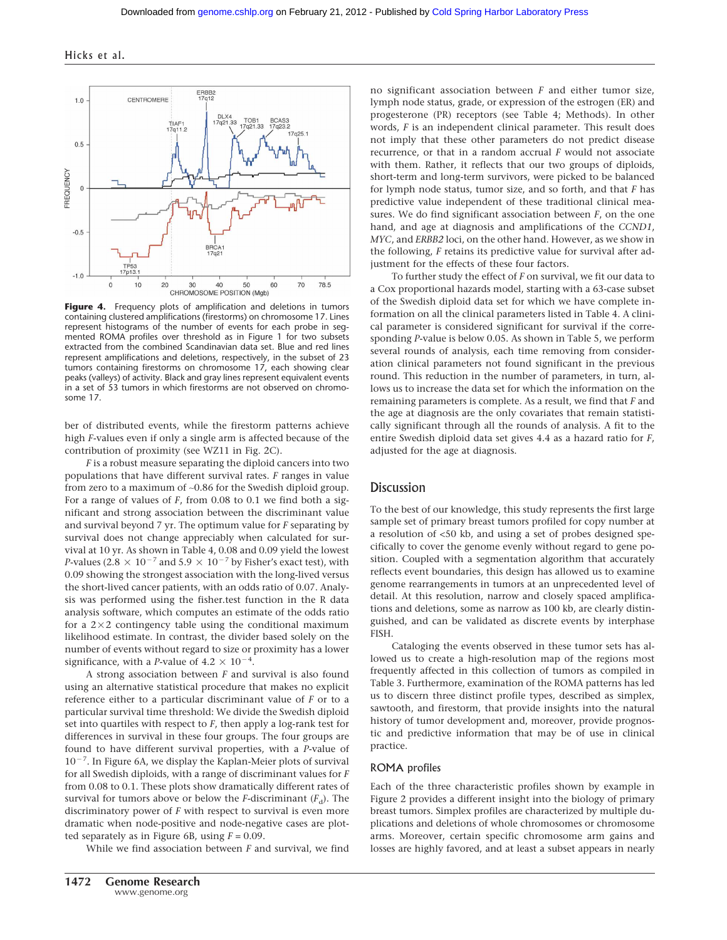

Figure 4. Frequency plots of amplification and deletions in tumors containing clustered amplifications (firestorms) on chromosome 17. Lines represent histograms of the number of events for each probe in segmented ROMA profiles over threshold as in Figure 1 for two subsets extracted from the combined Scandinavian data set. Blue and red lines represent amplifications and deletions, respectively, in the subset of 23 tumors containing firestorms on chromosome 17, each showing clear peaks (valleys) of activity. Black and gray lines represent equivalent events in a set of 53 tumors in which firestorms are not observed on chromosome 17.

ber of distributed events, while the firestorm patterns achieve high *F*-values even if only a single arm is affected because of the contribution of proximity (see WZ11 in Fig. 2C).

*F* is a robust measure separating the diploid cancers into two populations that have different survival rates. *F* ranges in value from zero to a maximum of ∼0.86 for the Swedish diploid group. For a range of values of *F*, from 0.08 to 0.1 we find both a significant and strong association between the discriminant value and survival beyond 7 yr. The optimum value for *F* separating by survival does not change appreciably when calculated for survival at 10 yr. As shown in Table 4, 0.08 and 0.09 yield the lowest *P*-values (2.8  $\times$   $10^{-7}$  and 5.9  $\times$   $10^{-7}$  by Fisher's exact test), with 0.09 showing the strongest association with the long-lived versus the short-lived cancer patients, with an odds ratio of 0.07. Analysis was performed using the fisher.test function in the R data analysis software, which computes an estimate of the odds ratio for a  $2\times2$  contingency table using the conditional maximum likelihood estimate. In contrast, the divider based solely on the number of events without regard to size or proximity has a lower significance, with a *P*-value of  $4.2 \times 10^{-4}$ .

A strong association between *F* and survival is also found using an alternative statistical procedure that makes no explicit reference either to a particular discriminant value of *F* or to a particular survival time threshold: We divide the Swedish diploid set into quartiles with respect to *F*, then apply a log-rank test for differences in survival in these four groups. The four groups are found to have different survival properties, with a *P*-value of 10<sup>-7</sup>. In Figure 6A, we display the Kaplan-Meier plots of survival for all Swedish diploids, with a range of discriminant values for *F* from 0.08 to 0.1. These plots show dramatically different rates of survival for tumors above or below the *F*-discriminant  $(F_d)$ . The discriminatory power of *F* with respect to survival is even more dramatic when node-positive and node-negative cases are plotted separately as in Figure 6B, using  $F = 0.09$ .

While we find association between *F* and survival, we find

no significant association between *F* and either tumor size, lymph node status, grade, or expression of the estrogen (ER) and progesterone (PR) receptors (see Table 4; Methods). In other words, *F* is an independent clinical parameter. This result does not imply that these other parameters do not predict disease recurrence, or that in a random accrual *F* would not associate with them. Rather, it reflects that our two groups of diploids, short-term and long-term survivors, were picked to be balanced for lymph node status, tumor size, and so forth, and that *F* has predictive value independent of these traditional clinical measures. We do find significant association between *F*, on the one hand, and age at diagnosis and amplifications of the *CCND1*, *MYC*, and *ERBB2* loci, on the other hand. However, as we show in the following, *F* retains its predictive value for survival after adjustment for the effects of these four factors.

To further study the effect of *F* on survival, we fit our data to a Cox proportional hazards model, starting with a 63-case subset of the Swedish diploid data set for which we have complete information on all the clinical parameters listed in Table 4. A clinical parameter is considered significant for survival if the corresponding *P*-value is below 0.05. As shown in Table 5, we perform several rounds of analysis, each time removing from consideration clinical parameters not found significant in the previous round. This reduction in the number of parameters, in turn, allows us to increase the data set for which the information on the remaining parameters is complete. As a result, we find that *F* and the age at diagnosis are the only covariates that remain statistically significant through all the rounds of analysis. A fit to the entire Swedish diploid data set gives 4.4 as a hazard ratio for *F*, adjusted for the age at diagnosis.

#### **Discussion**

To the best of our knowledge, this study represents the first large sample set of primary breast tumors profiled for copy number at a resolution of <50 kb, and using a set of probes designed specifically to cover the genome evenly without regard to gene position. Coupled with a segmentation algorithm that accurately reflects event boundaries, this design has allowed us to examine genome rearrangements in tumors at an unprecedented level of detail. At this resolution, narrow and closely spaced amplifications and deletions, some as narrow as 100 kb, are clearly distinguished, and can be validated as discrete events by interphase FISH.

Cataloging the events observed in these tumor sets has allowed us to create a high-resolution map of the regions most frequently affected in this collection of tumors as compiled in Table 3. Furthermore, examination of the ROMA patterns has led us to discern three distinct profile types, described as simplex, sawtooth, and firestorm, that provide insights into the natural history of tumor development and, moreover, provide prognostic and predictive information that may be of use in clinical practice.

#### ROMA profiles

Each of the three characteristic profiles shown by example in Figure 2 provides a different insight into the biology of primary breast tumors. Simplex profiles are characterized by multiple duplications and deletions of whole chromosomes or chromosome arms. Moreover, certain specific chromosome arm gains and losses are highly favored, and at least a subset appears in nearly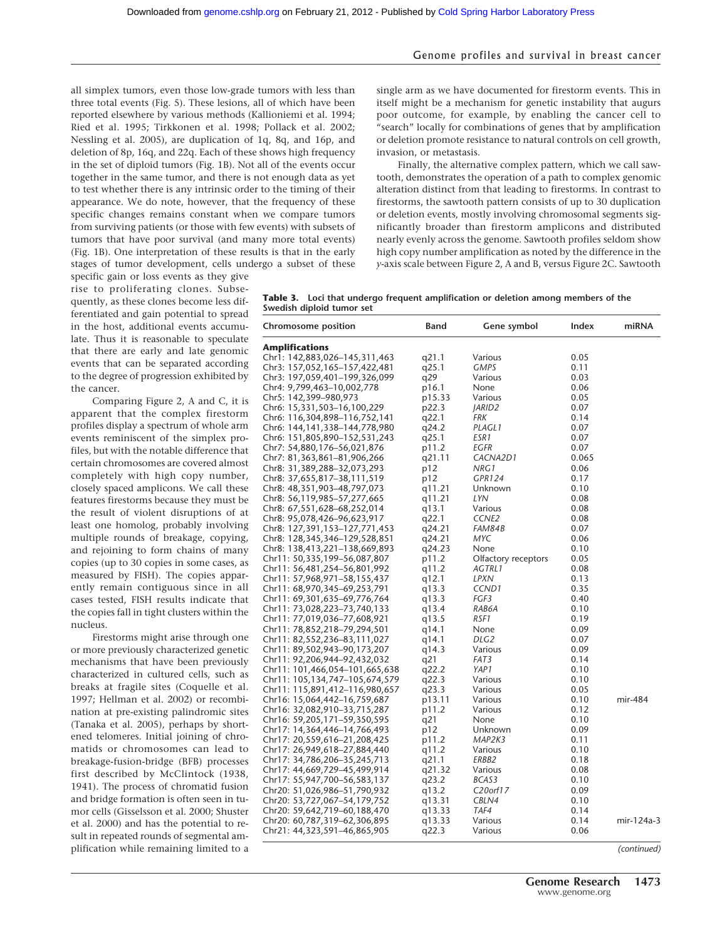all simplex tumors, even those low-grade tumors with less than three total events (Fig. 5). These lesions, all of which have been reported elsewhere by various methods (Kallioniemi et al. 1994; Ried et al. 1995; Tirkkonen et al. 1998; Pollack et al. 2002; Nessling et al. 2005), are duplication of 1q, 8q, and 16p, and deletion of 8p, 16q, and 22q. Each of these shows high frequency in the set of diploid tumors (Fig. 1B). Not all of the events occur together in the same tumor, and there is not enough data as yet to test whether there is any intrinsic order to the timing of their appearance. We do note, however, that the frequency of these specific changes remains constant when we compare tumors from surviving patients (or those with few events) with subsets of tumors that have poor survival (and many more total events) (Fig. 1B). One interpretation of these results is that in the early stages of tumor development, cells undergo a subset of these

specific gain or loss events as they give rise to proliferating clones. Subsequently, as these clones become less differentiated and gain potential to spread in the host, additional events accumulate. Thus it is reasonable to speculate that there are early and late genomic events that can be separated according to the degree of progression exhibited by the cancer.

Comparing Figure 2, A and C, it is apparent that the complex firestorm profiles display a spectrum of whole arm events reminiscent of the simplex profiles, but with the notable difference that certain chromosomes are covered almost completely with high copy number, closely spaced amplicons. We call these features firestorms because they must be the result of violent disruptions of at least one homolog, probably involving multiple rounds of breakage, copying, and rejoining to form chains of many copies (up to 30 copies in some cases, as measured by FISH). The copies apparently remain contiguous since in all cases tested, FISH results indicate that the copies fall in tight clusters within the nucleus.

Firestorms might arise through one or more previously characterized genetic mechanisms that have been previously characterized in cultured cells, such as breaks at fragile sites (Coquelle et al. 1997; Hellman et al. 2002) or recombination at pre-existing palindromic sites (Tanaka et al. 2005), perhaps by shortened telomeres. Initial joining of chromatids or chromosomes can lead to breakage-fusion-bridge (BFB) processes first described by McClintock (1938, 1941). The process of chromatid fusion and bridge formation is often seen in tumor cells (Gisselsson et al. 2000; Shuster et al. 2000) and has the potential to result in repeated rounds of segmental amplification while remaining limited to a

single arm as we have documented for firestorm events. This in itself might be a mechanism for genetic instability that augurs poor outcome, for example, by enabling the cancer cell to "search" locally for combinations of genes that by amplification or deletion promote resistance to natural controls on cell growth, invasion, or metastasis.

Finally, the alternative complex pattern, which we call sawtooth, demonstrates the operation of a path to complex genomic alteration distinct from that leading to firestorms. In contrast to firestorms, the sawtooth pattern consists of up to 30 duplication or deletion events, mostly involving chromosomal segments significantly broader than firestorm amplicons and distributed nearly evenly across the genome. Sawtooth profiles seldom show high copy number amplification as noted by the difference in the *y*-axis scale between Figure 2, A and B, versus Figure 2C. Sawtooth

**Table 3. Loci that undergo frequent amplification or deletion among members of the Swedish diploid tumor set**

| <b>Amplifications</b><br>Chr1: 142,883,026-145,311,463<br>q21.1<br>Various<br>0.05<br>Chr3: 157,052,165-157,422,481<br>q25.1<br><b>GMPS</b><br>0.11<br>Chr3: 197,059,401-199,326,099<br>q29<br>Various<br>0.03<br>0.06<br>Chr4: 9,799,463-10,002,778<br>p16.1<br>None<br>Chr5: 142,399-980,973<br>p15.33<br>Various<br>0.05<br>Chr6: 15,331,503-16,100,229<br>p22.3<br>0.07<br><i>ARID2</i><br>Chr6: 116,304,898-116,752,141<br>0.14<br>q22.1<br>FRK<br>Chr6: 144,141,338-144,778,980<br>PLAGL1<br>0.07<br>g24.2<br>0.07<br>Chr6: 151,805,890-152,531,243<br>q25.1<br>ESR1<br>Chr7: 54,880,176-56,021,876<br>p11.2<br>EGFR<br>0.07<br>Chr7: 81,363,861-81,906,266<br>q21.11<br>CACNA2D1<br>0.065<br>Chr8: 31,389,288-32,073,293<br>p12<br>0.06<br>NRG 1<br>GPR124<br>0.17<br>Chr8: 37,655,817-38,111,519<br>p12<br>Chr8: 48,351,903-48,797,073<br>q11.21<br>Unknown<br>0.10<br>Chr8: 56,119,985-57,277,665<br>q11.21<br>LYN<br>0.08<br>Chr8: 67,551,628-68,252,014<br>Various<br>0.08<br>q13.1<br>0.08<br>Chr8: 95,078,426-96,623,917<br>q22.1<br>CCNE <sub>2</sub><br>0.07<br>Chr8: 127,391,153-127,771,453<br>q24.21<br>FAM84B<br>Chr8: 128,345,346-129,528,851<br>MYC<br>0.06<br>q24.21<br>Chr8: 138,413,221-138,669,893<br>q24.23<br>None<br>0.10<br>Chr11: 50,335,199-56,087,807<br>p11.2<br>0.05<br>Olfactory receptors<br>Chr11: 56,481,254-56,801,992<br>q11.2<br>AGTRL1<br>0.08<br>Chr11: 57,968,971-58,155,437<br>q12.1<br>LPXN<br>0.13<br>Chr11: 68,970,345-69,253,791<br>q13.3<br>CCND <sub>1</sub><br>0.35<br>FGF3<br>0.40<br>Chr11: 69,301,635–69,776,764<br>q13.3<br>q13.4<br>RAB6A<br>0.10<br>Chr11: 73,028,223-73,740,133<br>Chr11: 77,019,036-77,608,921<br>q13.5<br>RSF1<br>0.19<br>Chr11: 78,852,218-79,294,501<br>q14.1<br>None<br>0.09<br>Chr11: 82,552,236-83,111,027<br>q14.1<br>DLG2<br>0.07<br>Chr11: 89,502,943-90,173,207<br>0.09<br>q14.3<br>Various<br>Chr11: 92,206,944-92,432,032<br>q21<br>FAT3<br>0.14<br>Chr11: 101,466,054-101,665,638<br>YAP1<br>0.10<br>q22.2<br>Chr11: 105,134,747-105,674,579<br>0.10<br>q22.3<br>Various<br>Chr11: 115,891,412-116,980,657<br>Various<br>0.05<br>q23.3<br>Chr16: 15,064,442-16,759,687<br>mir-484<br>p13.11<br>Various<br>0.10<br>0.12<br>Chr16: 32,082,910-33,715,287<br>p11.2<br>Various<br>Chr16: 59,205,171-59,350,595<br>q21<br>None<br>0.10<br>Chr17: 14,364,446-14,766,493<br>p12<br>Unknown<br>0.09 | Chromosome position          | Band  | Gene symbol | Index | miRNA |
|--------------------------------------------------------------------------------------------------------------------------------------------------------------------------------------------------------------------------------------------------------------------------------------------------------------------------------------------------------------------------------------------------------------------------------------------------------------------------------------------------------------------------------------------------------------------------------------------------------------------------------------------------------------------------------------------------------------------------------------------------------------------------------------------------------------------------------------------------------------------------------------------------------------------------------------------------------------------------------------------------------------------------------------------------------------------------------------------------------------------------------------------------------------------------------------------------------------------------------------------------------------------------------------------------------------------------------------------------------------------------------------------------------------------------------------------------------------------------------------------------------------------------------------------------------------------------------------------------------------------------------------------------------------------------------------------------------------------------------------------------------------------------------------------------------------------------------------------------------------------------------------------------------------------------------------------------------------------------------------------------------------------------------------------------------------------------------------------------------------------------------------------------------------------------------------------------------------------------------------------------------------------------------------------------------------------------------------------------------------------------------------|------------------------------|-------|-------------|-------|-------|
|                                                                                                                                                                                                                                                                                                                                                                                                                                                                                                                                                                                                                                                                                                                                                                                                                                                                                                                                                                                                                                                                                                                                                                                                                                                                                                                                                                                                                                                                                                                                                                                                                                                                                                                                                                                                                                                                                                                                                                                                                                                                                                                                                                                                                                                                                                                                                                                      |                              |       |             |       |       |
|                                                                                                                                                                                                                                                                                                                                                                                                                                                                                                                                                                                                                                                                                                                                                                                                                                                                                                                                                                                                                                                                                                                                                                                                                                                                                                                                                                                                                                                                                                                                                                                                                                                                                                                                                                                                                                                                                                                                                                                                                                                                                                                                                                                                                                                                                                                                                                                      |                              |       |             |       |       |
|                                                                                                                                                                                                                                                                                                                                                                                                                                                                                                                                                                                                                                                                                                                                                                                                                                                                                                                                                                                                                                                                                                                                                                                                                                                                                                                                                                                                                                                                                                                                                                                                                                                                                                                                                                                                                                                                                                                                                                                                                                                                                                                                                                                                                                                                                                                                                                                      |                              |       |             |       |       |
|                                                                                                                                                                                                                                                                                                                                                                                                                                                                                                                                                                                                                                                                                                                                                                                                                                                                                                                                                                                                                                                                                                                                                                                                                                                                                                                                                                                                                                                                                                                                                                                                                                                                                                                                                                                                                                                                                                                                                                                                                                                                                                                                                                                                                                                                                                                                                                                      |                              |       |             |       |       |
|                                                                                                                                                                                                                                                                                                                                                                                                                                                                                                                                                                                                                                                                                                                                                                                                                                                                                                                                                                                                                                                                                                                                                                                                                                                                                                                                                                                                                                                                                                                                                                                                                                                                                                                                                                                                                                                                                                                                                                                                                                                                                                                                                                                                                                                                                                                                                                                      |                              |       |             |       |       |
|                                                                                                                                                                                                                                                                                                                                                                                                                                                                                                                                                                                                                                                                                                                                                                                                                                                                                                                                                                                                                                                                                                                                                                                                                                                                                                                                                                                                                                                                                                                                                                                                                                                                                                                                                                                                                                                                                                                                                                                                                                                                                                                                                                                                                                                                                                                                                                                      |                              |       |             |       |       |
|                                                                                                                                                                                                                                                                                                                                                                                                                                                                                                                                                                                                                                                                                                                                                                                                                                                                                                                                                                                                                                                                                                                                                                                                                                                                                                                                                                                                                                                                                                                                                                                                                                                                                                                                                                                                                                                                                                                                                                                                                                                                                                                                                                                                                                                                                                                                                                                      |                              |       |             |       |       |
|                                                                                                                                                                                                                                                                                                                                                                                                                                                                                                                                                                                                                                                                                                                                                                                                                                                                                                                                                                                                                                                                                                                                                                                                                                                                                                                                                                                                                                                                                                                                                                                                                                                                                                                                                                                                                                                                                                                                                                                                                                                                                                                                                                                                                                                                                                                                                                                      |                              |       |             |       |       |
|                                                                                                                                                                                                                                                                                                                                                                                                                                                                                                                                                                                                                                                                                                                                                                                                                                                                                                                                                                                                                                                                                                                                                                                                                                                                                                                                                                                                                                                                                                                                                                                                                                                                                                                                                                                                                                                                                                                                                                                                                                                                                                                                                                                                                                                                                                                                                                                      |                              |       |             |       |       |
|                                                                                                                                                                                                                                                                                                                                                                                                                                                                                                                                                                                                                                                                                                                                                                                                                                                                                                                                                                                                                                                                                                                                                                                                                                                                                                                                                                                                                                                                                                                                                                                                                                                                                                                                                                                                                                                                                                                                                                                                                                                                                                                                                                                                                                                                                                                                                                                      |                              |       |             |       |       |
|                                                                                                                                                                                                                                                                                                                                                                                                                                                                                                                                                                                                                                                                                                                                                                                                                                                                                                                                                                                                                                                                                                                                                                                                                                                                                                                                                                                                                                                                                                                                                                                                                                                                                                                                                                                                                                                                                                                                                                                                                                                                                                                                                                                                                                                                                                                                                                                      |                              |       |             |       |       |
|                                                                                                                                                                                                                                                                                                                                                                                                                                                                                                                                                                                                                                                                                                                                                                                                                                                                                                                                                                                                                                                                                                                                                                                                                                                                                                                                                                                                                                                                                                                                                                                                                                                                                                                                                                                                                                                                                                                                                                                                                                                                                                                                                                                                                                                                                                                                                                                      |                              |       |             |       |       |
|                                                                                                                                                                                                                                                                                                                                                                                                                                                                                                                                                                                                                                                                                                                                                                                                                                                                                                                                                                                                                                                                                                                                                                                                                                                                                                                                                                                                                                                                                                                                                                                                                                                                                                                                                                                                                                                                                                                                                                                                                                                                                                                                                                                                                                                                                                                                                                                      |                              |       |             |       |       |
|                                                                                                                                                                                                                                                                                                                                                                                                                                                                                                                                                                                                                                                                                                                                                                                                                                                                                                                                                                                                                                                                                                                                                                                                                                                                                                                                                                                                                                                                                                                                                                                                                                                                                                                                                                                                                                                                                                                                                                                                                                                                                                                                                                                                                                                                                                                                                                                      |                              |       |             |       |       |
|                                                                                                                                                                                                                                                                                                                                                                                                                                                                                                                                                                                                                                                                                                                                                                                                                                                                                                                                                                                                                                                                                                                                                                                                                                                                                                                                                                                                                                                                                                                                                                                                                                                                                                                                                                                                                                                                                                                                                                                                                                                                                                                                                                                                                                                                                                                                                                                      |                              |       |             |       |       |
|                                                                                                                                                                                                                                                                                                                                                                                                                                                                                                                                                                                                                                                                                                                                                                                                                                                                                                                                                                                                                                                                                                                                                                                                                                                                                                                                                                                                                                                                                                                                                                                                                                                                                                                                                                                                                                                                                                                                                                                                                                                                                                                                                                                                                                                                                                                                                                                      |                              |       |             |       |       |
|                                                                                                                                                                                                                                                                                                                                                                                                                                                                                                                                                                                                                                                                                                                                                                                                                                                                                                                                                                                                                                                                                                                                                                                                                                                                                                                                                                                                                                                                                                                                                                                                                                                                                                                                                                                                                                                                                                                                                                                                                                                                                                                                                                                                                                                                                                                                                                                      |                              |       |             |       |       |
|                                                                                                                                                                                                                                                                                                                                                                                                                                                                                                                                                                                                                                                                                                                                                                                                                                                                                                                                                                                                                                                                                                                                                                                                                                                                                                                                                                                                                                                                                                                                                                                                                                                                                                                                                                                                                                                                                                                                                                                                                                                                                                                                                                                                                                                                                                                                                                                      |                              |       |             |       |       |
|                                                                                                                                                                                                                                                                                                                                                                                                                                                                                                                                                                                                                                                                                                                                                                                                                                                                                                                                                                                                                                                                                                                                                                                                                                                                                                                                                                                                                                                                                                                                                                                                                                                                                                                                                                                                                                                                                                                                                                                                                                                                                                                                                                                                                                                                                                                                                                                      |                              |       |             |       |       |
|                                                                                                                                                                                                                                                                                                                                                                                                                                                                                                                                                                                                                                                                                                                                                                                                                                                                                                                                                                                                                                                                                                                                                                                                                                                                                                                                                                                                                                                                                                                                                                                                                                                                                                                                                                                                                                                                                                                                                                                                                                                                                                                                                                                                                                                                                                                                                                                      |                              |       |             |       |       |
|                                                                                                                                                                                                                                                                                                                                                                                                                                                                                                                                                                                                                                                                                                                                                                                                                                                                                                                                                                                                                                                                                                                                                                                                                                                                                                                                                                                                                                                                                                                                                                                                                                                                                                                                                                                                                                                                                                                                                                                                                                                                                                                                                                                                                                                                                                                                                                                      |                              |       |             |       |       |
|                                                                                                                                                                                                                                                                                                                                                                                                                                                                                                                                                                                                                                                                                                                                                                                                                                                                                                                                                                                                                                                                                                                                                                                                                                                                                                                                                                                                                                                                                                                                                                                                                                                                                                                                                                                                                                                                                                                                                                                                                                                                                                                                                                                                                                                                                                                                                                                      |                              |       |             |       |       |
|                                                                                                                                                                                                                                                                                                                                                                                                                                                                                                                                                                                                                                                                                                                                                                                                                                                                                                                                                                                                                                                                                                                                                                                                                                                                                                                                                                                                                                                                                                                                                                                                                                                                                                                                                                                                                                                                                                                                                                                                                                                                                                                                                                                                                                                                                                                                                                                      |                              |       |             |       |       |
|                                                                                                                                                                                                                                                                                                                                                                                                                                                                                                                                                                                                                                                                                                                                                                                                                                                                                                                                                                                                                                                                                                                                                                                                                                                                                                                                                                                                                                                                                                                                                                                                                                                                                                                                                                                                                                                                                                                                                                                                                                                                                                                                                                                                                                                                                                                                                                                      |                              |       |             |       |       |
|                                                                                                                                                                                                                                                                                                                                                                                                                                                                                                                                                                                                                                                                                                                                                                                                                                                                                                                                                                                                                                                                                                                                                                                                                                                                                                                                                                                                                                                                                                                                                                                                                                                                                                                                                                                                                                                                                                                                                                                                                                                                                                                                                                                                                                                                                                                                                                                      |                              |       |             |       |       |
|                                                                                                                                                                                                                                                                                                                                                                                                                                                                                                                                                                                                                                                                                                                                                                                                                                                                                                                                                                                                                                                                                                                                                                                                                                                                                                                                                                                                                                                                                                                                                                                                                                                                                                                                                                                                                                                                                                                                                                                                                                                                                                                                                                                                                                                                                                                                                                                      |                              |       |             |       |       |
|                                                                                                                                                                                                                                                                                                                                                                                                                                                                                                                                                                                                                                                                                                                                                                                                                                                                                                                                                                                                                                                                                                                                                                                                                                                                                                                                                                                                                                                                                                                                                                                                                                                                                                                                                                                                                                                                                                                                                                                                                                                                                                                                                                                                                                                                                                                                                                                      |                              |       |             |       |       |
|                                                                                                                                                                                                                                                                                                                                                                                                                                                                                                                                                                                                                                                                                                                                                                                                                                                                                                                                                                                                                                                                                                                                                                                                                                                                                                                                                                                                                                                                                                                                                                                                                                                                                                                                                                                                                                                                                                                                                                                                                                                                                                                                                                                                                                                                                                                                                                                      |                              |       |             |       |       |
|                                                                                                                                                                                                                                                                                                                                                                                                                                                                                                                                                                                                                                                                                                                                                                                                                                                                                                                                                                                                                                                                                                                                                                                                                                                                                                                                                                                                                                                                                                                                                                                                                                                                                                                                                                                                                                                                                                                                                                                                                                                                                                                                                                                                                                                                                                                                                                                      |                              |       |             |       |       |
|                                                                                                                                                                                                                                                                                                                                                                                                                                                                                                                                                                                                                                                                                                                                                                                                                                                                                                                                                                                                                                                                                                                                                                                                                                                                                                                                                                                                                                                                                                                                                                                                                                                                                                                                                                                                                                                                                                                                                                                                                                                                                                                                                                                                                                                                                                                                                                                      |                              |       |             |       |       |
|                                                                                                                                                                                                                                                                                                                                                                                                                                                                                                                                                                                                                                                                                                                                                                                                                                                                                                                                                                                                                                                                                                                                                                                                                                                                                                                                                                                                                                                                                                                                                                                                                                                                                                                                                                                                                                                                                                                                                                                                                                                                                                                                                                                                                                                                                                                                                                                      |                              |       |             |       |       |
|                                                                                                                                                                                                                                                                                                                                                                                                                                                                                                                                                                                                                                                                                                                                                                                                                                                                                                                                                                                                                                                                                                                                                                                                                                                                                                                                                                                                                                                                                                                                                                                                                                                                                                                                                                                                                                                                                                                                                                                                                                                                                                                                                                                                                                                                                                                                                                                      |                              |       |             |       |       |
|                                                                                                                                                                                                                                                                                                                                                                                                                                                                                                                                                                                                                                                                                                                                                                                                                                                                                                                                                                                                                                                                                                                                                                                                                                                                                                                                                                                                                                                                                                                                                                                                                                                                                                                                                                                                                                                                                                                                                                                                                                                                                                                                                                                                                                                                                                                                                                                      |                              |       |             |       |       |
|                                                                                                                                                                                                                                                                                                                                                                                                                                                                                                                                                                                                                                                                                                                                                                                                                                                                                                                                                                                                                                                                                                                                                                                                                                                                                                                                                                                                                                                                                                                                                                                                                                                                                                                                                                                                                                                                                                                                                                                                                                                                                                                                                                                                                                                                                                                                                                                      |                              |       |             |       |       |
|                                                                                                                                                                                                                                                                                                                                                                                                                                                                                                                                                                                                                                                                                                                                                                                                                                                                                                                                                                                                                                                                                                                                                                                                                                                                                                                                                                                                                                                                                                                                                                                                                                                                                                                                                                                                                                                                                                                                                                                                                                                                                                                                                                                                                                                                                                                                                                                      |                              |       |             |       |       |
|                                                                                                                                                                                                                                                                                                                                                                                                                                                                                                                                                                                                                                                                                                                                                                                                                                                                                                                                                                                                                                                                                                                                                                                                                                                                                                                                                                                                                                                                                                                                                                                                                                                                                                                                                                                                                                                                                                                                                                                                                                                                                                                                                                                                                                                                                                                                                                                      |                              |       |             |       |       |
|                                                                                                                                                                                                                                                                                                                                                                                                                                                                                                                                                                                                                                                                                                                                                                                                                                                                                                                                                                                                                                                                                                                                                                                                                                                                                                                                                                                                                                                                                                                                                                                                                                                                                                                                                                                                                                                                                                                                                                                                                                                                                                                                                                                                                                                                                                                                                                                      |                              |       |             |       |       |
|                                                                                                                                                                                                                                                                                                                                                                                                                                                                                                                                                                                                                                                                                                                                                                                                                                                                                                                                                                                                                                                                                                                                                                                                                                                                                                                                                                                                                                                                                                                                                                                                                                                                                                                                                                                                                                                                                                                                                                                                                                                                                                                                                                                                                                                                                                                                                                                      |                              |       |             |       |       |
|                                                                                                                                                                                                                                                                                                                                                                                                                                                                                                                                                                                                                                                                                                                                                                                                                                                                                                                                                                                                                                                                                                                                                                                                                                                                                                                                                                                                                                                                                                                                                                                                                                                                                                                                                                                                                                                                                                                                                                                                                                                                                                                                                                                                                                                                                                                                                                                      | Chr17: 20,559,616-21,208,425 | p11.2 | MAP2K3      | 0.11  |       |
| Chr17: 26,949,618-27,884,440<br>0.10<br>q11.2<br>Various                                                                                                                                                                                                                                                                                                                                                                                                                                                                                                                                                                                                                                                                                                                                                                                                                                                                                                                                                                                                                                                                                                                                                                                                                                                                                                                                                                                                                                                                                                                                                                                                                                                                                                                                                                                                                                                                                                                                                                                                                                                                                                                                                                                                                                                                                                                             |                              |       |             |       |       |
| 0.18<br>Chr17: 34,786,206-35,245,713<br>q21.1<br>ERBB2                                                                                                                                                                                                                                                                                                                                                                                                                                                                                                                                                                                                                                                                                                                                                                                                                                                                                                                                                                                                                                                                                                                                                                                                                                                                                                                                                                                                                                                                                                                                                                                                                                                                                                                                                                                                                                                                                                                                                                                                                                                                                                                                                                                                                                                                                                                               |                              |       |             |       |       |
| 0.08<br>Chr17: 44,669,729–45,499,914<br>q21.32<br>Various                                                                                                                                                                                                                                                                                                                                                                                                                                                                                                                                                                                                                                                                                                                                                                                                                                                                                                                                                                                                                                                                                                                                                                                                                                                                                                                                                                                                                                                                                                                                                                                                                                                                                                                                                                                                                                                                                                                                                                                                                                                                                                                                                                                                                                                                                                                            |                              |       |             |       |       |
| Chr17: 55,947,700-56,583,137<br>0.10<br>q23.2<br>BCAS3                                                                                                                                                                                                                                                                                                                                                                                                                                                                                                                                                                                                                                                                                                                                                                                                                                                                                                                                                                                                                                                                                                                                                                                                                                                                                                                                                                                                                                                                                                                                                                                                                                                                                                                                                                                                                                                                                                                                                                                                                                                                                                                                                                                                                                                                                                                               |                              |       |             |       |       |
| Chr20: 51,026,986-51,790,932<br>C20orf17<br>0.09<br>q13.2                                                                                                                                                                                                                                                                                                                                                                                                                                                                                                                                                                                                                                                                                                                                                                                                                                                                                                                                                                                                                                                                                                                                                                                                                                                                                                                                                                                                                                                                                                                                                                                                                                                                                                                                                                                                                                                                                                                                                                                                                                                                                                                                                                                                                                                                                                                            |                              |       |             |       |       |
| Chr20: 53,727,067-54,179,752<br>CBLN4<br>0.10<br>q13.31                                                                                                                                                                                                                                                                                                                                                                                                                                                                                                                                                                                                                                                                                                                                                                                                                                                                                                                                                                                                                                                                                                                                                                                                                                                                                                                                                                                                                                                                                                                                                                                                                                                                                                                                                                                                                                                                                                                                                                                                                                                                                                                                                                                                                                                                                                                              |                              |       |             |       |       |
| Chr20: 59,642,719-60,188,470<br>q13.33<br>TAF4<br>0.14                                                                                                                                                                                                                                                                                                                                                                                                                                                                                                                                                                                                                                                                                                                                                                                                                                                                                                                                                                                                                                                                                                                                                                                                                                                                                                                                                                                                                                                                                                                                                                                                                                                                                                                                                                                                                                                                                                                                                                                                                                                                                                                                                                                                                                                                                                                               |                              |       |             |       |       |
| Chr20: 60,787,319-62,306,895<br>mir-124a-3<br>q13.33<br>Various<br>0.14                                                                                                                                                                                                                                                                                                                                                                                                                                                                                                                                                                                                                                                                                                                                                                                                                                                                                                                                                                                                                                                                                                                                                                                                                                                                                                                                                                                                                                                                                                                                                                                                                                                                                                                                                                                                                                                                                                                                                                                                                                                                                                                                                                                                                                                                                                              |                              |       |             |       |       |
| Chr21: 44,323,591-46,865,905<br>q22.3<br>Various<br>0.06                                                                                                                                                                                                                                                                                                                                                                                                                                                                                                                                                                                                                                                                                                                                                                                                                                                                                                                                                                                                                                                                                                                                                                                                                                                                                                                                                                                                                                                                                                                                                                                                                                                                                                                                                                                                                                                                                                                                                                                                                                                                                                                                                                                                                                                                                                                             |                              |       |             |       |       |

*(continued)*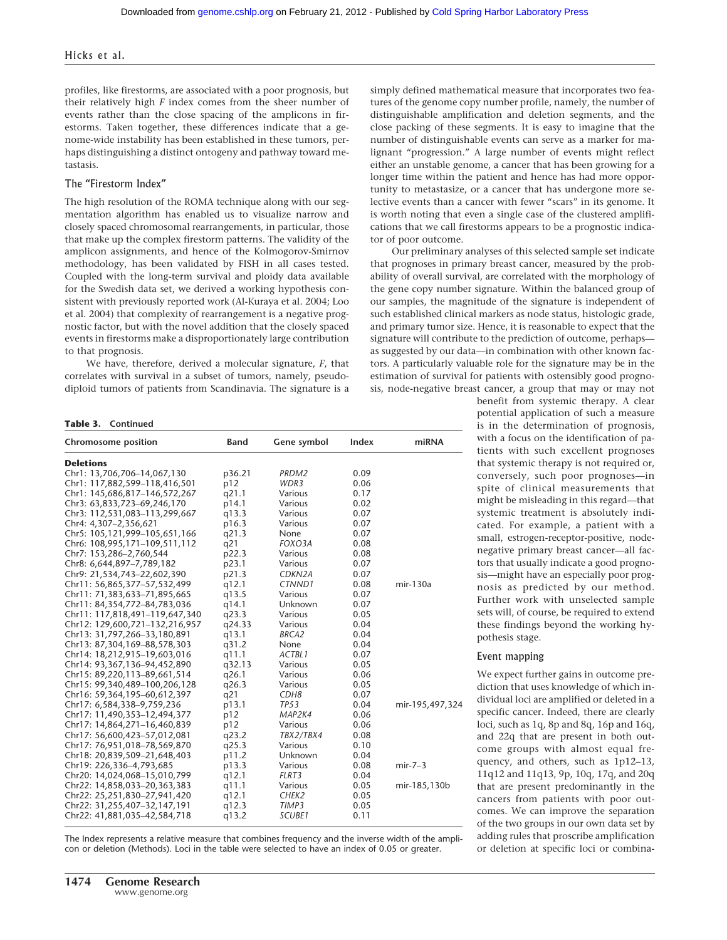profiles, like firestorms, are associated with a poor prognosis, but their relatively high *F* index comes from the sheer number of events rather than the close spacing of the amplicons in firestorms. Taken together, these differences indicate that a genome-wide instability has been established in these tumors, perhaps distinguishing a distinct ontogeny and pathway toward metastasis.

#### The "Firestorm Index"

The high resolution of the ROMA technique along with our segmentation algorithm has enabled us to visualize narrow and closely spaced chromosomal rearrangements, in particular, those that make up the complex firestorm patterns. The validity of the amplicon assignments, and hence of the Kolmogorov-Smirnov methodology, has been validated by FISH in all cases tested. Coupled with the long-term survival and ploidy data available for the Swedish data set, we derived a working hypothesis consistent with previously reported work (Al-Kuraya et al. 2004; Loo et al. 2004) that complexity of rearrangement is a negative prognostic factor, but with the novel addition that the closely spaced events in firestorms make a disproportionately large contribution to that prognosis.

We have, therefore, derived a molecular signature, *F*, that correlates with survival in a subset of tumors, namely, pseudodiploid tumors of patients from Scandinavia. The signature is a

#### **Table 3. Continued**

| Chromosome position            | <b>Band</b> | Gene symbol         | Index | miRNA           |
|--------------------------------|-------------|---------------------|-------|-----------------|
| <b>Deletions</b>               |             |                     |       |                 |
| Chr1: 13,706,706-14,067,130    | p36.21      | PRDM <sub>2</sub>   | 0.09  |                 |
| Chr1: 117,882,599-118,416,501  | p12         | WDR3                | 0.06  |                 |
| Chr1: 145,686,817-146,572,267  | q21.1       | Various             | 0.17  |                 |
| Chr3: 63,833,723-69,246,170    | p14.1       | Various             | 0.02  |                 |
| Chr3: 112,531,083-113,299,667  | q13.3       | Various             | 0.07  |                 |
| Chr4: 4,307-2,356,621          | p16.3       | Various             | 0.07  |                 |
| Chr5: 105,121,999-105,651,166  | q21.3       | None                | 0.07  |                 |
| Chr6: 108,995,171-109,511,112  | q21         | FOXO3A              | 0.08  |                 |
| Chr7: 153,286-2,760,544        | p22.3       | Various             | 0.08  |                 |
| Chr8: 6,644,897-7,789,182      | p23.1       | Various             | 0.07  |                 |
| Chr9: 21,534,743-22,602,390    | p21.3       | CDKN <sub>2</sub> A | 0.07  |                 |
| Chr11: 56,865,377-57,532,499   | q12.1       | CTNND1              | 0.08  | $mir-130a$      |
| Chr11: 71,383,633-71,895,665   | q13.5       | Various             | 0.07  |                 |
| Chr11: 84,354,772-84,783,036   | q14.1       | Unknown             | 0.07  |                 |
| Chr11: 117,818,491-119,647,340 | q23.3       | Various             | 0.05  |                 |
| Chr12: 129,600,721-132,216,957 | q24.33      | Various             | 0.04  |                 |
| Chr13: 31,797,266-33,180,891   | q13.1       | <b>BRCA2</b>        | 0.04  |                 |
| Chr13: 87,304,169-88,578,303   | q31.2       | None                | 0.04  |                 |
| Chr14: 18,212,915-19,603,016   | q11.1       | ACTBL1              | 0.07  |                 |
| Chr14: 93,367,136-94,452,890   | q32.13      | Various             | 0.05  |                 |
| Chr15: 89,220,113-89,661,514   | q26.1       | Various             | 0.06  |                 |
| Chr15: 99,340,489-100,206,128  | q26.3       | Various             | 0.05  |                 |
| Chr16: 59,364,195-60,612,397   | q21         | CDH8                | 0.07  |                 |
| Chr17: 6,584,338-9,759,236     | p13.1       | TP53                | 0.04  | mir-195,497,324 |
| Chr17: 11,490,353-12,494,377   | p12         | MAP2K4              | 0.06  |                 |
| Chr17: 14,864,271-16,460,839   | p12         | Various             | 0.06  |                 |
| Chr17: 56,600,423-57,012,081   | q23.2       | TBX2/TBX4           | 0.08  |                 |
| Chr17: 76,951,018-78,569,870   | q25.3       | Various             | 0.10  |                 |
| Chr18: 20,839,509-21,648,403   | p11.2       | Unknown             | 0.04  |                 |
| Chr19: 226,336-4,793,685       | p13.3       | Various             | 0.08  | $mir-7-3$       |
| Chr20: 14,024,068-15,010,799   | q12.1       | FLRT3               | 0.04  |                 |
| Chr22: 14,858,033-20,363,383   | q11.1       | Various             | 0.05  | mir-185,130b    |
| Chr22: 25,251,830-27,941,420   | q12.1       | CHEK2               | 0.05  |                 |
| Chr22: 31,255,407-32,147,191   | q12.3       | TIMP3               | 0.05  |                 |
| Chr22: 41,881,035-42,584,718   | q13.2       | SCUBE <sub>1</sub>  | 0.11  |                 |

The Index represents a relative measure that combines frequency and the inverse width of the amplicon or deletion (Methods). Loci in the table were selected to have an index of 0.05 or greater.

simply defined mathematical measure that incorporates two features of the genome copy number profile, namely, the number of distinguishable amplification and deletion segments, and the close packing of these segments. It is easy to imagine that the number of distinguishable events can serve as a marker for malignant "progression." A large number of events might reflect either an unstable genome, a cancer that has been growing for a longer time within the patient and hence has had more opportunity to metastasize, or a cancer that has undergone more selective events than a cancer with fewer "scars" in its genome. It is worth noting that even a single case of the clustered amplifications that we call firestorms appears to be a prognostic indicator of poor outcome.

Our preliminary analyses of this selected sample set indicate that prognoses in primary breast cancer, measured by the probability of overall survival, are correlated with the morphology of the gene copy number signature. Within the balanced group of our samples, the magnitude of the signature is independent of such established clinical markers as node status, histologic grade, and primary tumor size. Hence, it is reasonable to expect that the signature will contribute to the prediction of outcome, perhaps as suggested by our data—in combination with other known factors. A particularly valuable role for the signature may be in the estimation of survival for patients with ostensibly good prognosis, node-negative breast cancer, a group that may or may not

> benefit from systemic therapy. A clear potential application of such a measure is in the determination of prognosis, with a focus on the identification of patients with such excellent prognoses that systemic therapy is not required or, conversely, such poor prognoses—in spite of clinical measurements that might be misleading in this regard—that systemic treatment is absolutely indicated. For example, a patient with a small, estrogen-receptor-positive, nodenegative primary breast cancer—all factors that usually indicate a good prognosis—might have an especially poor prognosis as predicted by our method. Further work with unselected sample sets will, of course, be required to extend these findings beyond the working hypothesis stage.

#### Event mapping

We expect further gains in outcome prediction that uses knowledge of which individual loci are amplified or deleted in a specific cancer. Indeed, there are clearly loci, such as 1q, 8p and 8q, 16p and 16q, and 22q that are present in both outcome groups with almost equal frequency, and others, such as 1p12–13, 11q12 and 11q13, 9p, 10q, 17q, and 20q that are present predominantly in the cancers from patients with poor outcomes. We can improve the separation of the two groups in our own data set by adding rules that proscribe amplification or deletion at specific loci or combina-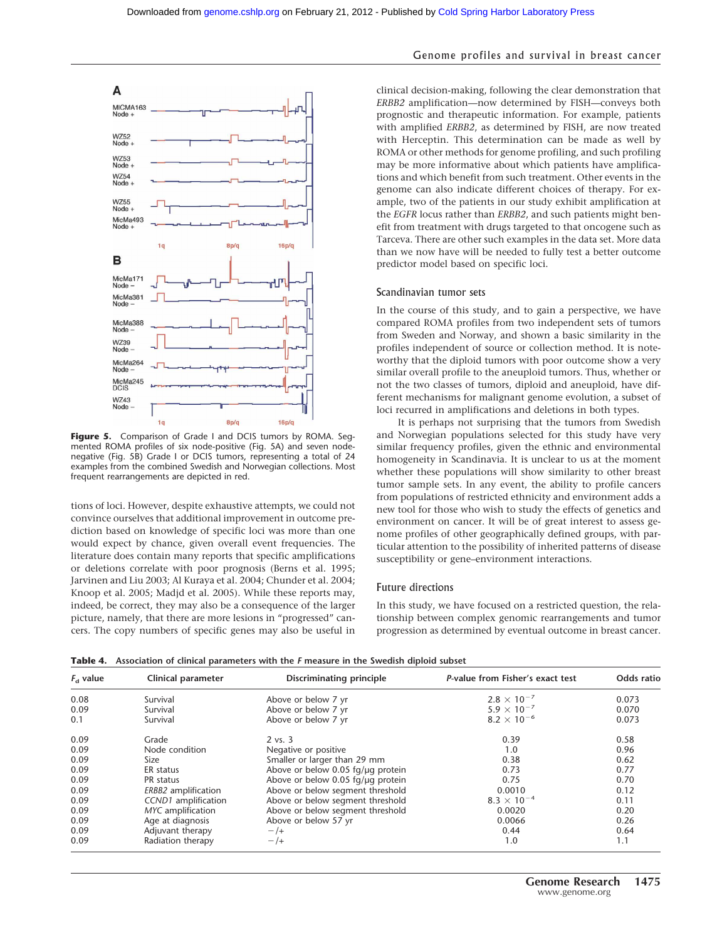

**Figure 5.** Comparison of Grade I and DCIS tumors by ROMA. Seqmented ROMA profiles of six node-positive (Fig. 5A) and seven nodenegative (Fig. 5B) Grade I or DCIS tumors, representing a total of 24 examples from the combined Swedish and Norwegian collections. Most frequent rearrangements are depicted in red.

tions of loci. However, despite exhaustive attempts, we could not convince ourselves that additional improvement in outcome prediction based on knowledge of specific loci was more than one would expect by chance, given overall event frequencies. The literature does contain many reports that specific amplifications or deletions correlate with poor prognosis (Berns et al. 1995; Jarvinen and Liu 2003; Al Kuraya et al. 2004; Chunder et al. 2004; Knoop et al. 2005; Madjd et al. 2005). While these reports may, indeed, be correct, they may also be a consequence of the larger picture, namely, that there are more lesions in "progressed" cancers. The copy numbers of specific genes may also be useful in

#### Genome profiles and survival in breast cancer

clinical decision-making, following the clear demonstration that *ERBB2* amplification—now determined by FISH—conveys both prognostic and therapeutic information. For example, patients with amplified *ERBB2*, as determined by FISH, are now treated with Herceptin. This determination can be made as well by ROMA or other methods for genome profiling, and such profiling may be more informative about which patients have amplifications and which benefit from such treatment. Other events in the genome can also indicate different choices of therapy. For example, two of the patients in our study exhibit amplification at the *EGFR* locus rather than *ERBB2*, and such patients might benefit from treatment with drugs targeted to that oncogene such as Tarceva. There are other such examples in the data set. More data than we now have will be needed to fully test a better outcome predictor model based on specific loci.

#### Scandinavian tumor sets

In the course of this study, and to gain a perspective, we have compared ROMA profiles from two independent sets of tumors from Sweden and Norway, and shown a basic similarity in the profiles independent of source or collection method. It is noteworthy that the diploid tumors with poor outcome show a very similar overall profile to the aneuploid tumors. Thus, whether or not the two classes of tumors, diploid and aneuploid, have different mechanisms for malignant genome evolution, a subset of loci recurred in amplifications and deletions in both types.

It is perhaps not surprising that the tumors from Swedish and Norwegian populations selected for this study have very similar frequency profiles, given the ethnic and environmental homogeneity in Scandinavia. It is unclear to us at the moment whether these populations will show similarity to other breast tumor sample sets. In any event, the ability to profile cancers from populations of restricted ethnicity and environment adds a new tool for those who wish to study the effects of genetics and environment on cancer. It will be of great interest to assess genome profiles of other geographically defined groups, with particular attention to the possibility of inherited patterns of disease susceptibility or gene–environment interactions.

#### Future directions

In this study, we have focused on a restricted question, the relationship between complex genomic rearrangements and tumor progression as determined by eventual outcome in breast cancer.

**Table 4. Association of clinical parameters with the** *F* **measure in the Swedish diploid subset**

| $F_{\rm d}$ value<br>Clinical parameter |                     | Discriminating principle               | P-value from Fisher's exact test | Odds ratio |  |
|-----------------------------------------|---------------------|----------------------------------------|----------------------------------|------------|--|
| 0.08                                    | Survival            | Above or below 7 yr                    | $2.8 \times 10^{-7}$             | 0.073      |  |
| 0.09                                    | Survival            | Above or below 7 yr                    | $5.9 \times 10^{-7}$             | 0.070      |  |
| 0.1                                     | Survival            | Above or below 7 yr                    | $8.2 \times 10^{-6}$             | 0.073      |  |
| 0.09                                    | Grade               | $2$ vs. $3$                            | 0.39                             | 0.58       |  |
| 0.09                                    | Node condition      | Negative or positive                   | 1.0                              | 0.96       |  |
| 0.09                                    | <b>Size</b>         | Smaller or larger than 29 mm           | 0.38                             | 0.62       |  |
| 0.09                                    | ER status           | Above or below 0.05 fg/µg protein      | 0.73                             | 0.77       |  |
| 0.09                                    | PR status           | Above or below 0.05 $fq/\mu q$ protein | 0.75                             | 0.70       |  |
| 0.09                                    | ERBB2 amplification | Above or below segment threshold       | 0.0010                           | 0.12       |  |
| 0.09                                    | CCND1 amplification | Above or below segment threshold       | $8.3 \times 10^{-4}$             | 0.11       |  |
| 0.09                                    | MYC amplification   | Above or below segment threshold       | 0.0020                           | 0.20       |  |
| 0.09                                    | Age at diagnosis    | Above or below 57 yr                   | 0.0066                           | 0.26       |  |
| 0.09                                    | Adjuvant therapy    | $-$ /+                                 | 0.44                             | 0.64       |  |
| 0.09                                    | Radiation therapy   | $-$ /+                                 | 1.0                              | 1.1        |  |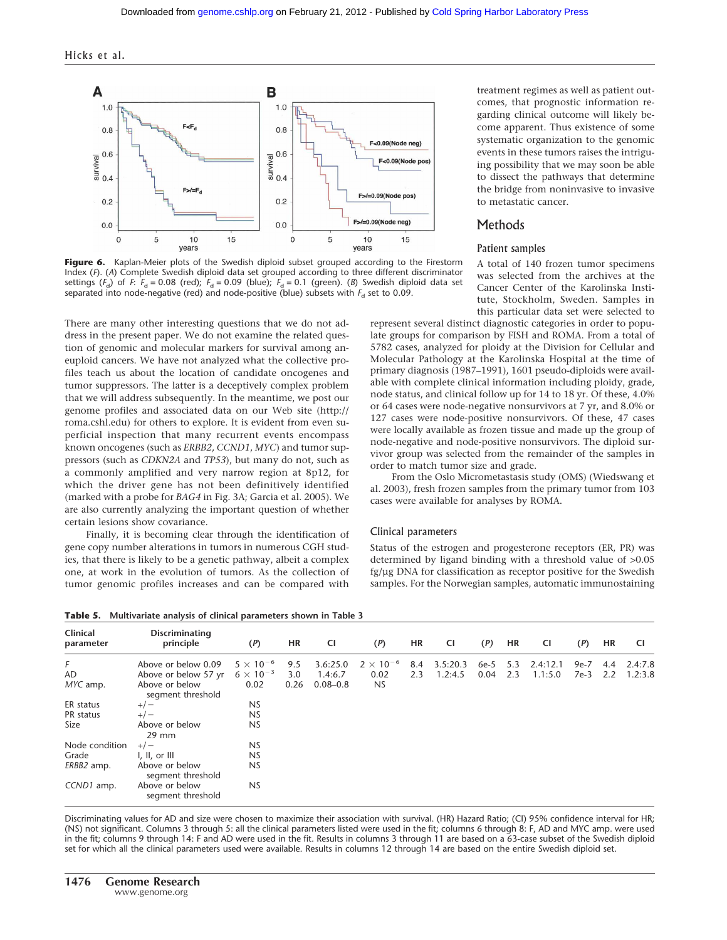

Figure 6. Kaplan-Meier plots of the Swedish diploid subset grouped according to the Firestorm Index (*F*). (*A*) Complete Swedish diploid data set grouped according to three different discriminator settings  $(F_d)$  of *F*:  $F_d$  = 0.08 (red);  $F_d$  = 0.09 (blue);  $F_d$  = 0.1 (green). (*B*) Swedish diploid data set separated into node-negative (red) and node-positive (blue) subsets with  $F_d$  set to 0.09.

There are many other interesting questions that we do not address in the present paper. We do not examine the related question of genomic and molecular markers for survival among aneuploid cancers. We have not analyzed what the collective profiles teach us about the location of candidate oncogenes and tumor suppressors. The latter is a deceptively complex problem that we will address subsequently. In the meantime, we post our genome profiles and associated data on our Web site (http:// roma.cshl.edu) for others to explore. It is evident from even superficial inspection that many recurrent events encompass known oncogenes (such as *ERBB2*, *CCND1*, *MYC*) and tumor suppressors (such as *CDKN2A* and *TP53*), but many do not, such as a commonly amplified and very narrow region at 8p12, for which the driver gene has not been definitively identified (marked with a probe for *BAG4* in Fig. 3A; Garcia et al. 2005). We are also currently analyzing the important question of whether certain lesions show covariance.

Finally, it is becoming clear through the identification of gene copy number alterations in tumors in numerous CGH studies, that there is likely to be a genetic pathway, albeit a complex one, at work in the evolution of tumors. As the collection of tumor genomic profiles increases and can be compared with

treatment regimes as well as patient outcomes, that prognostic information regarding clinical outcome will likely become apparent. Thus existence of some systematic organization to the genomic events in these tumors raises the intriguing possibility that we may soon be able to dissect the pathways that determine the bridge from noninvasive to invasive to metastatic cancer.

#### Methods

#### Patient samples

A total of 140 frozen tumor specimens was selected from the archives at the Cancer Center of the Karolinska Institute, Stockholm, Sweden. Samples in this particular data set were selected to

represent several distinct diagnostic categories in order to populate groups for comparison by FISH and ROMA. From a total of 5782 cases, analyzed for ploidy at the Division for Cellular and Molecular Pathology at the Karolinska Hospital at the time of primary diagnosis (1987–1991), 1601 pseudo-diploids were available with complete clinical information including ploidy, grade, node status, and clinical follow up for 14 to 18 yr. Of these, 4.0% or 64 cases were node-negative nonsurvivors at 7 yr, and 8.0% or 127 cases were node-positive nonsurvivors. Of these, 47 cases were locally available as frozen tissue and made up the group of node-negative and node-positive nonsurvivors. The diploid survivor group was selected from the remainder of the samples in order to match tumor size and grade.

From the Oslo Micrometastasis study (OMS) (Wiedswang et al. 2003), fresh frozen samples from the primary tumor from 103 cases were available for analyses by ROMA.

#### Clinical parameters

Status of the estrogen and progesterone receptors (ER, PR) was determined by ligand binding with a threshold value of >0.05 fg/µg DNA for classification as receptor positive for the Swedish samples. For the Norwegian samples, automatic immunostaining

| Clinical<br>parameter | Discriminating<br>principle         | (P)                | HR   | <b>CI</b>    | (P)                | HR  | <b>CI</b> | (P)  | HR  | <b>CI</b> | (P)    | HR  | <b>CI</b> |
|-----------------------|-------------------------------------|--------------------|------|--------------|--------------------|-----|-----------|------|-----|-----------|--------|-----|-----------|
|                       |                                     |                    |      |              |                    |     |           |      |     |           |        |     |           |
| F                     | Above or below 0.09                 | $5 \times 10^{-6}$ | 9.5  | 3.6:25.0     | $2 \times 10^{-6}$ | 8.4 | 3.5:20.3  | 6e-5 | 5.3 | 2.4:12.1  | $9e-7$ | 4.4 | 2.4:7.8   |
| AD                    | Above or below 57 yr                | $6 \times 10^{-3}$ | 3.0  | 1.4:6.7      | 0.02               | 2.3 | 1.2:4.5   | 0.04 | 2.3 | 1.1:5.0   | $7e-3$ | 2.2 | 1.2:3.8   |
| MYC amp.              | Above or below<br>segment threshold | 0.02               | 0.26 | $0.08 - 0.8$ | <b>NS</b>          |     |           |      |     |           |        |     |           |
| ER status             | $+/-$                               | <b>NS</b>          |      |              |                    |     |           |      |     |           |        |     |           |
| PR status             | $+/-$                               | <b>NS</b>          |      |              |                    |     |           |      |     |           |        |     |           |
| Size                  | Above or below<br>$29$ mm           | <b>NS</b>          |      |              |                    |     |           |      |     |           |        |     |           |
| Node condition        | $+/-$                               | <b>NS</b>          |      |              |                    |     |           |      |     |           |        |     |           |
| Grade                 | I, II, or III                       | <b>NS</b>          |      |              |                    |     |           |      |     |           |        |     |           |
| ERBB2 amp.            | Above or below<br>segment threshold | <b>NS</b>          |      |              |                    |     |           |      |     |           |        |     |           |
| CCND1 amp.            | Above or below<br>segment threshold | <b>NS</b>          |      |              |                    |     |           |      |     |           |        |     |           |

Discriminating values for AD and size were chosen to maximize their association with survival. (HR) Hazard Ratio; (CI) 95% confidence interval for HR; (NS) not significant. Columns 3 through 5: all the clinical parameters listed were used in the fit; columns 6 through 8: F, AD and MYC amp. were used in the fit; columns 9 through 14: F and AD were used in the fit. Results in columns 3 through 11 are based on a 63-case subset of the Swedish diploid set for which all the clinical parameters used were available. Results in columns 12 through 14 are based on the entire Swedish diploid set.

**Table 5. Multivariate analysis of clinical parameters shown in Table 3**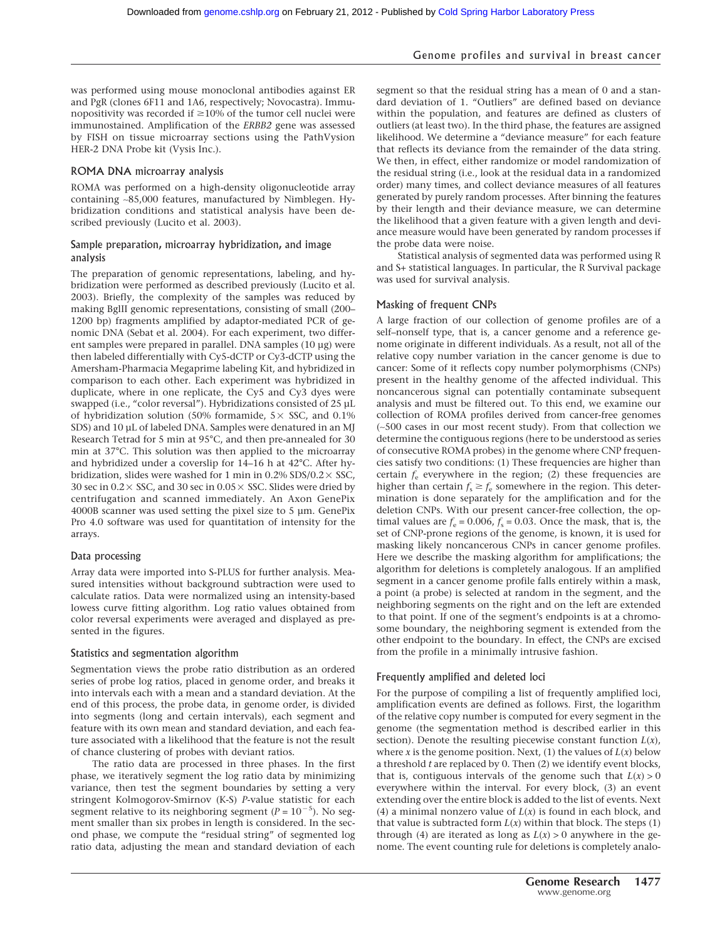was performed using mouse monoclonal antibodies against ER and PgR (clones 6F11 and 1A6, respectively; Novocastra). Immunopositivity was recorded if  $\geq 10\%$  of the tumor cell nuclei were immunostained. Amplification of the *ERBB2* gene was assessed by FISH on tissue microarray sections using the PathVysion HER-2 DNA Probe kit (Vysis Inc.).

## ROMA DNA microarray analysis

ROMA was performed on a high-density oligonucleotide array containing ∼85,000 features, manufactured by Nimblegen. Hybridization conditions and statistical analysis have been described previously (Lucito et al. 2003).

## Sample preparation, microarray hybridization, and image analysis

The preparation of genomic representations, labeling, and hybridization were performed as described previously (Lucito et al. 2003). Briefly, the complexity of the samples was reduced by making BglII genomic representations, consisting of small (200– 1200 bp) fragments amplified by adaptor-mediated PCR of genomic DNA (Sebat et al. 2004). For each experiment, two different samples were prepared in parallel. DNA samples (10 µg) were then labeled differentially with Cy5-dCTP or Cy3-dCTP using the Amersham-Pharmacia Megaprime labeling Kit, and hybridized in comparison to each other. Each experiment was hybridized in duplicate, where in one replicate, the Cy5 and Cy3 dyes were swapped (i.e., "color reversal"). Hybridizations consisted of 25 µL of hybridization solution (50% formamide,  $5 \times$  SSC, and 0.1% SDS) and 10 µL of labeled DNA. Samples were denatured in an MJ Research Tetrad for 5 min at 95°C, and then pre-annealed for 30 min at 37°C. This solution was then applied to the microarray and hybridized under a coverslip for 14–16 h at 42°C. After hybridization, slides were washed for 1 min in  $0.2\%$  SDS/ $0.2 \times$  SSC, 30 sec in 0.2  $\times$  SSC, and 30 sec in 0.05  $\times$  SSC. Slides were dried by centrifugation and scanned immediately. An Axon GenePix 4000B scanner was used setting the pixel size to 5 µm. GenePix Pro 4.0 software was used for quantitation of intensity for the arrays.

## Data processing

Array data were imported into S-PLUS for further analysis. Measured intensities without background subtraction were used to calculate ratios. Data were normalized using an intensity-based lowess curve fitting algorithm. Log ratio values obtained from color reversal experiments were averaged and displayed as presented in the figures.

## Statistics and segmentation algorithm

Segmentation views the probe ratio distribution as an ordered series of probe log ratios, placed in genome order, and breaks it into intervals each with a mean and a standard deviation. At the end of this process, the probe data, in genome order, is divided into segments (long and certain intervals), each segment and feature with its own mean and standard deviation, and each feature associated with a likelihood that the feature is not the result of chance clustering of probes with deviant ratios.

The ratio data are processed in three phases. In the first phase, we iteratively segment the log ratio data by minimizing variance, then test the segment boundaries by setting a very stringent Kolmogorov-Smirnov (K-S) *P*-value statistic for each segment relative to its neighboring segment ( $P = 10^{-5}$ ). No segment smaller than six probes in length is considered. In the second phase, we compute the "residual string" of segmented log ratio data, adjusting the mean and standard deviation of each

segment so that the residual string has a mean of 0 and a standard deviation of 1. "Outliers" are defined based on deviance within the population, and features are defined as clusters of outliers (at least two). In the third phase, the features are assigned likelihood. We determine a "deviance measure" for each feature that reflects its deviance from the remainder of the data string. We then, in effect, either randomize or model randomization of the residual string (i.e., look at the residual data in a randomized order) many times, and collect deviance measures of all features generated by purely random processes. After binning the features by their length and their deviance measure, we can determine the likelihood that a given feature with a given length and deviance measure would have been generated by random processes if the probe data were noise.

Statistical analysis of segmented data was performed using R and S+ statistical languages. In particular, the R Survival package was used for survival analysis.

## Masking of frequent CNPs

A large fraction of our collection of genome profiles are of a self–nonself type, that is, a cancer genome and a reference genome originate in different individuals. As a result, not all of the relative copy number variation in the cancer genome is due to cancer: Some of it reflects copy number polymorphisms (CNPs) present in the healthy genome of the affected individual. This noncancerous signal can potentially contaminate subsequent analysis and must be filtered out. To this end, we examine our collection of ROMA profiles derived from cancer-free genomes (∼500 cases in our most recent study). From that collection we determine the contiguous regions (here to be understood as series of consecutive ROMA probes) in the genome where CNP frequencies satisfy two conditions: (1) These frequencies are higher than certain  $f_e$  everywhere in the region; (2) these frequencies are higher than certain  $f_s \geq f_e$  somewhere in the region. This determination is done separately for the amplification and for the deletion CNPs. With our present cancer-free collection, the optimal values are  $f_e = 0.006$ ,  $f_s = 0.03$ . Once the mask, that is, the set of CNP-prone regions of the genome, is known, it is used for masking likely noncancerous CNPs in cancer genome profiles. Here we describe the masking algorithm for amplifications; the algorithm for deletions is completely analogous. If an amplified segment in a cancer genome profile falls entirely within a mask, a point (a probe) is selected at random in the segment, and the neighboring segments on the right and on the left are extended to that point. If one of the segment's endpoints is at a chromosome boundary, the neighboring segment is extended from the other endpoint to the boundary. In effect, the CNPs are excised from the profile in a minimally intrusive fashion.

## Frequently amplified and deleted loci

For the purpose of compiling a list of frequently amplified loci, amplification events are defined as follows. First, the logarithm of the relative copy number is computed for every segment in the genome (the segmentation method is described earlier in this section). Denote the resulting piecewise constant function *L*(*x*), where *x* is the genome position. Next, (1) the values of  $L(x)$  below a threshold *t* are replaced by 0. Then (2) we identify event blocks, that is, contiguous intervals of the genome such that  $L(x) > 0$ everywhere within the interval. For every block, (3) an event extending over the entire block is added to the list of events. Next (4) a minimal nonzero value of *L*(*x*) is found in each block, and that value is subtracted form  $L(x)$  within that block. The steps  $(1)$ through (4) are iterated as long as  $L(x) > 0$  anywhere in the genome. The event counting rule for deletions is completely analo-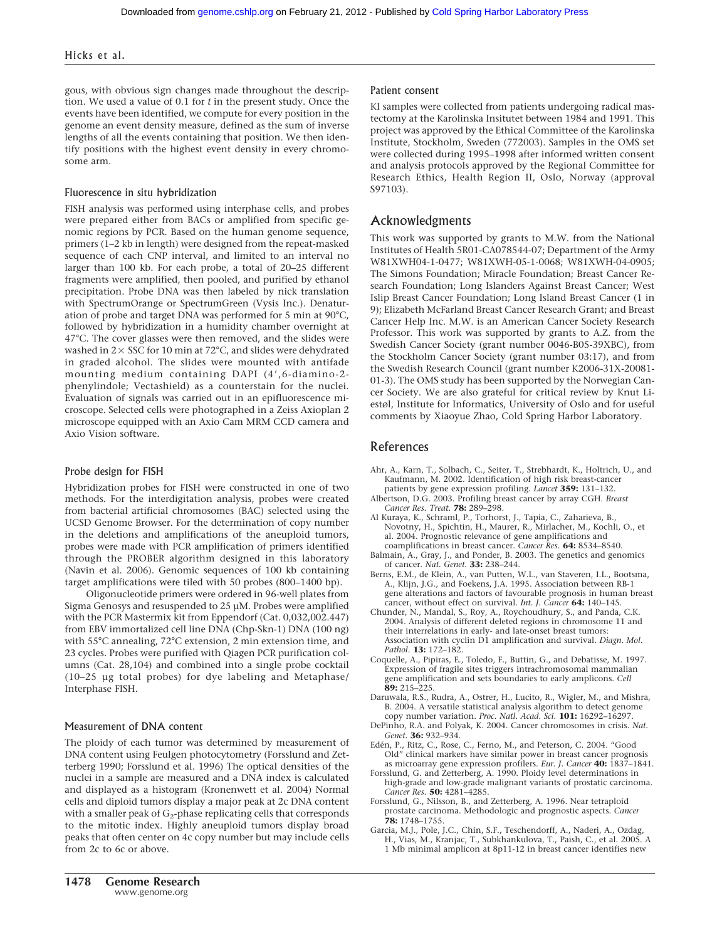gous, with obvious sign changes made throughout the description. We used a value of 0.1 for *t* in the present study. Once the events have been identified, we compute for every position in the genome an event density measure, defined as the sum of inverse lengths of all the events containing that position. We then identify positions with the highest event density in every chromosome arm.

#### Fluorescence in situ hybridization

FISH analysis was performed using interphase cells, and probes were prepared either from BACs or amplified from specific genomic regions by PCR. Based on the human genome sequence, primers (1–2 kb in length) were designed from the repeat-masked sequence of each CNP interval, and limited to an interval no larger than 100 kb. For each probe, a total of 20–25 different fragments were amplified, then pooled, and purified by ethanol precipitation. Probe DNA was then labeled by nick translation with SpectrumOrange or SpectrumGreen (Vysis Inc.). Denaturation of probe and target DNA was performed for 5 min at 90°C, followed by hybridization in a humidity chamber overnight at 47°C. The cover glasses were then removed, and the slides were washed in  $2 \times$  SSC for 10 min at 72°C, and slides were dehydrated in graded alcohol. The slides were mounted with antifade mounting medium containing DAPI (4', 6-diamino-2phenylindole; Vectashield) as a counterstain for the nuclei. Evaluation of signals was carried out in an epifluorescence microscope. Selected cells were photographed in a Zeiss Axioplan 2 microscope equipped with an Axio Cam MRM CCD camera and Axio Vision software.

#### Probe design for FISH

Hybridization probes for FISH were constructed in one of two methods. For the interdigitation analysis, probes were created from bacterial artificial chromosomes (BAC) selected using the UCSD Genome Browser. For the determination of copy number in the deletions and amplifications of the aneuploid tumors, probes were made with PCR amplification of primers identified through the PROBER algorithm designed in this laboratory (Navin et al. 2006). Genomic sequences of 100 kb containing target amplifications were tiled with 50 probes (800–1400 bp).

Oligonucleotide primers were ordered in 96-well plates from Sigma Genosys and resuspended to 25 µM. Probes were amplified with the PCR Mastermix kit from Eppendorf (Cat. 0,032,002.447) from EBV immortalized cell line DNA (Chp-Skn-1) DNA (100 ng) with 55°C annealing, 72°C extension, 2 min extension time, and 23 cycles. Probes were purified with Qiagen PCR purification columns (Cat. 28,104) and combined into a single probe cocktail (10–25 µg total probes) for dye labeling and Metaphase/ Interphase FISH.

#### Measurement of DNA content

The ploidy of each tumor was determined by measurement of DNA content using Feulgen photocytometry (Forsslund and Zetterberg 1990; Forsslund et al. 1996) The optical densities of the nuclei in a sample are measured and a DNA index is calculated and displayed as a histogram (Kronenwett et al. 2004) Normal cells and diploid tumors display a major peak at 2c DNA content with a smaller peak of  $G_2$ -phase replicating cells that corresponds to the mitotic index. Highly aneuploid tumors display broad peaks that often center on 4c copy number but may include cells from 2c to 6c or above.

#### Patient consent

KI samples were collected from patients undergoing radical mastectomy at the Karolinska Insitutet between 1984 and 1991. This project was approved by the Ethical Committee of the Karolinska Institute, Stockholm, Sweden (772003). Samples in the OMS set were collected during 1995–1998 after informed written consent and analysis protocols approved by the Regional Committee for Research Ethics, Health Region II, Oslo, Norway (approval S97103).

#### Acknowledgments

This work was supported by grants to M.W. from the National Institutes of Health 5R01-CA078544-07; Department of the Army W81XWH04-1-0477; W81XWH-05-1-0068; W81XWH-04-0905; The Simons Foundation; Miracle Foundation; Breast Cancer Research Foundation; Long Islanders Against Breast Cancer; West Islip Breast Cancer Foundation; Long Island Breast Cancer (1 in 9); Elizabeth McFarland Breast Cancer Research Grant; and Breast Cancer Help Inc. M.W. is an American Cancer Society Research Professor. This work was supported by grants to A.Z. from the Swedish Cancer Society (grant number 0046-B05-39XBC), from the Stockholm Cancer Society (grant number 03:17), and from the Swedish Research Council (grant number K2006-31X-20081- 01-3). The OMS study has been supported by the Norwegian Cancer Society. We are also grateful for critical review by Knut Liestøl, Institute for Informatics, University of Oslo and for useful comments by Xiaoyue Zhao, Cold Spring Harbor Laboratory.

#### References

- Ahr, A., Karn, T., Solbach, C., Seiter, T., Strebhardt, K., Holtrich, U., and Kaufmann, M. 2002. Identification of high risk breast-cancer
- patients by gene expression profiling. *Lancet* **359:** 131–132. Albertson, D.G. 2003. Profiling breast cancer by array CGH. *Breast Cancer Res. Treat.* **78:** 289–298.
- Al Kuraya, K., Schraml, P., Torhorst, J., Tapia, C., Zaharieva, B., Novotny, H., Spichtin, H., Maurer, R., Mirlacher, M., Kochli, O., et al. 2004. Prognostic relevance of gene amplifications and coamplifications in breast cancer. *Cancer Res.* **64:** 8534–8540.
- Balmain, A., Gray, J., and Ponder, B. 2003. The genetics and genomics of cancer. *Nat. Genet.* **33:** 238–244.
- Berns, E.M., de Klein, A., van Putten, W.L., van Staveren, I.L., Bootsma, A., Klijn, J.G., and Foekens, J.A. 1995. Association between RB-1 gene alterations and factors of favourable prognosis in human breast cancer, without effect on survival. *Int. J. Cancer* **64:** 140–145.
- Chunder, N., Mandal, S., Roy, A., Roychoudhury, S., and Panda, C.K. 2004. Analysis of different deleted regions in chromosome 11 and their interrelations in early- and late-onset breast tumors: Association with cyclin D1 amplification and survival. *Diagn. Mol. Pathol.* **13:** 172–182.
- Coquelle, A., Pipiras, E., Toledo, F., Buttin, G., and Debatisse, M. 1997. Expression of fragile sites triggers intrachromosomal mammalian gene amplification and sets boundaries to early amplicons. *Cell* **89:** 215–225.
- Daruwala, R.S., Rudra, A., Ostrer, H., Lucito, R., Wigler, M., and Mishra, B. 2004. A versatile statistical analysis algorithm to detect genome copy number variation. *Proc. Natl. Acad. Sci.* **101:** 16292–16297.
- DePinho, R.A. and Polyak, K. 2004. Cancer chromosomes in crisis. *Nat. Genet.* **36:** 932–934.
- Edén, P., Ritz, C., Rose, C., Ferno, M., and Peterson, C. 2004. "Good Old" clinical markers have similar power in breast cancer prognosis as microarray gene expression profilers. *Eur. J. Cancer* **40:** 1837–1841.
- Forsslund, G. and Zetterberg, A. 1990. Ploidy level determinations in high-grade and low-grade malignant variants of prostatic carcinoma. *Cancer Res.* **50:** 4281–4285.
- Forsslund, G., Nilsson, B., and Zetterberg, A. 1996. Near tetraploid prostate carcinoma. Methodologic and prognostic aspects. *Cancer* **78:** 1748–1755.
- Garcia, M.J., Pole, J.C., Chin, S.F., Teschendorff, A., Naderi, A., Ozdag, H., Vias, M., Kranjac, T., Subkhankulova, T., Paish, C., et al. 2005. A 1 Mb minimal amplicon at 8p11-12 in breast cancer identifies new